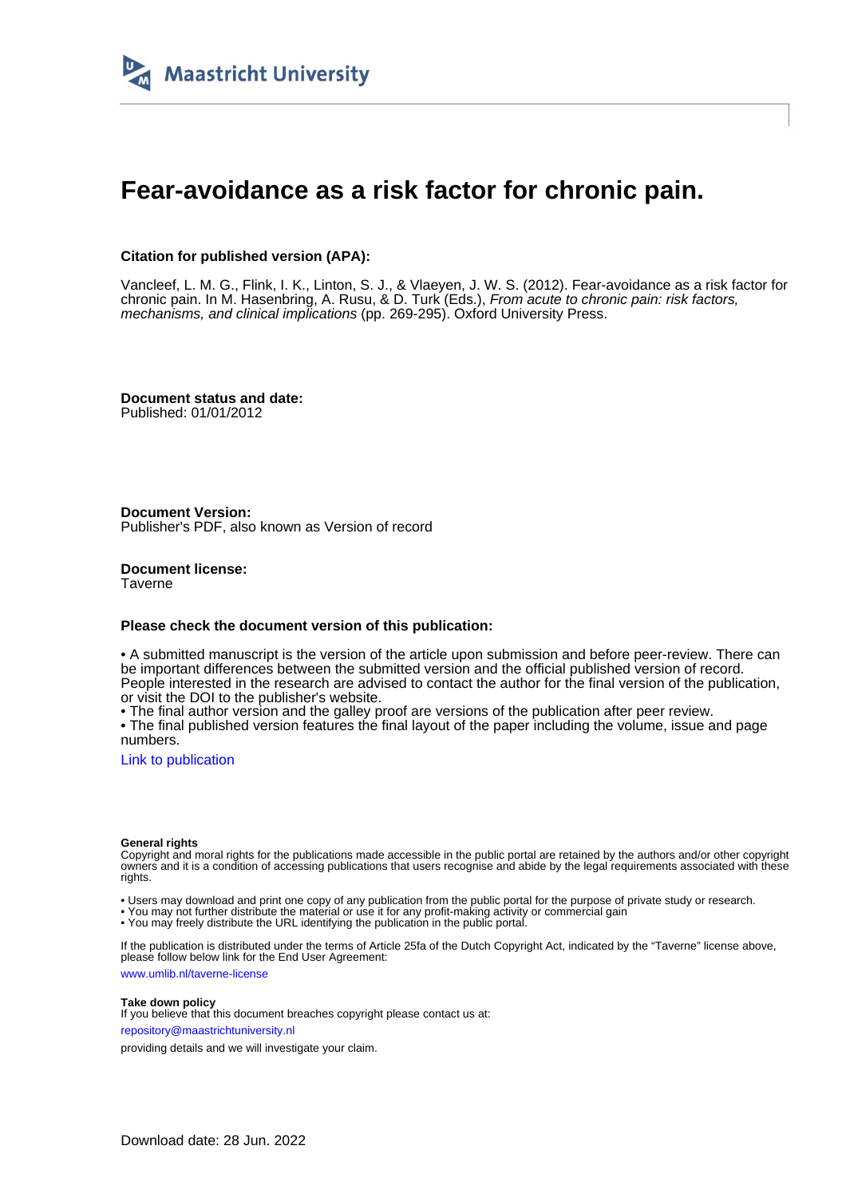

# **Fear-avoidance as a risk factor for chronic pain.**

## **Citation for published version (APA):**

Vancleef, L. M. G., Flink, I. K., Linton, S. J., & Vlaeyen, J. W. S. (2012). Fear-avoidance as a risk factor for chronic pain. In M. Hasenbring, A. Rusu, & D. Turk (Eds.), From acute to chronic pain: risk factors, mechanisms, and clinical implications (pp. 269-295). Oxford University Press.

**Document status and date:** Published: 01/01/2012

**Document Version:** Publisher's PDF, also known as Version of record

**Document license: Taverne** 

### **Please check the document version of this publication:**

• A submitted manuscript is the version of the article upon submission and before peer-review. There can be important differences between the submitted version and the official published version of record. People interested in the research are advised to contact the author for the final version of the publication, or visit the DOI to the publisher's website.

• The final author version and the galley proof are versions of the publication after peer review.

• The final published version features the final layout of the paper including the volume, issue and page numbers.

[Link to publication](https://cris.maastrichtuniversity.nl/en/publications/a84a7f7e-fed8-4fd6-88c7-c6c91be3e85b)

### **General rights**

Copyright and moral rights for the publications made accessible in the public portal are retained by the authors and/or other copyright owners and it is a condition of accessing publications that users recognise and abide by the legal requirements associated with these rights.

• Users may download and print one copy of any publication from the public portal for the purpose of private study or research.

• You may not further distribute the material or use it for any profit-making activity or commercial gain

• You may freely distribute the URL identifying the publication in the public portal.

If the publication is distributed under the terms of Article 25fa of the Dutch Copyright Act, indicated by the "Taverne" license above, please follow below link for the End User Agreement:

www.umlib.nl/taverne-license

### **Take down policy**

If you believe that this document breaches copyright please contact us at: repository@maastrichtuniversity.nl

providing details and we will investigate your claim.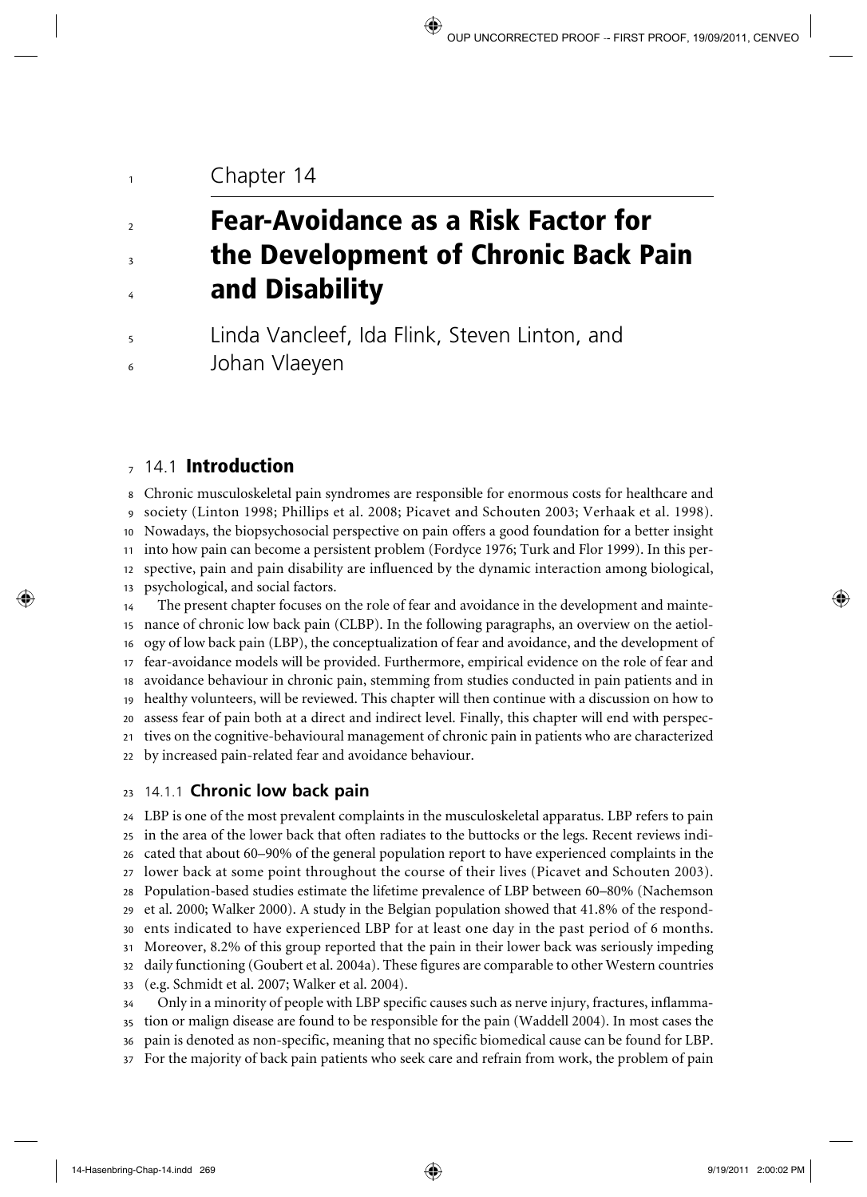## 1 Chapter 14

### 4 3 2 **Fear-Avoidance as a Risk Factor for the Development of Chronic Back Pain and Disability**

⊕

6 5 Linda Vancleef, Ida Flink, Steven Linton, and Johan Vlaeyen

### 7 14.1 **Introduction**

⇔

13 12 11 10 9 8 Chronic musculoskeletal pain syndromes are responsible for enormous costs for healthcare and society (Linton 1998; Phillips et al. 2008; Picavet and Schouten 2003; Verhaak et al. 1998). Nowadays, the biopsychosocial perspective on pain offers a good foundation for a better insight into how pain can become a persistent problem (Fordyce 1976; Turk and Flor 1999). In this perspective, pain and pain disability are influenced by the dynamic interaction among biological, psychological, and social factors.

 $22$ 21 20 19 18 17 16 15 14 The present chapter focuses on the role of fear and avoidance in the development and maintenance of chronic low back pain (CLBP). In the following paragraphs, an overview on the aetiology of low back pain (LBP), the conceptualization of fear and avoidance, and the development of fear-avoidance models will be provided. Furthermore, empirical evidence on the role of fear and avoidance behaviour in chronic pain, stemming from studies conducted in pain patients and in healthy volunteers, will be reviewed. This chapter will then continue with a discussion on how to assess fear of pain both at a direct and indirect level. Finally, this chapter will end with perspectives on the cognitive-behavioural management of chronic pain in patients who are characterized by increased pain-related fear and avoidance behaviour.

#### 23 14.1.1 **Chronic low back pain**

34 33 32 31 30 29 28 27 26 25 24 LBP is one of the most prevalent complaints in the musculoskeletal apparatus. LBP refers to pain in the area of the lower back that often radiates to the buttocks or the legs. Recent reviews indicated that about 60–90% of the general population report to have experienced complaints in the lower back at some point throughout the course of their lives (Picavet and Schouten 2003). Population-based studies estimate the lifetime prevalence of LBP between 60–80% (Nachemson et al. 2000; Walker 2000). A study in the Belgian population showed that 41.8% of the respondents indicated to have experienced LBP for at least one day in the past period of 6 months. Moreover, 8.2 % of this group reported that the pain in their lower back was seriously impeding daily functioning (Goubert et al. 2004a ). These figures are comparable to other Western countries (e.g. Schmidt et al. 2007; Walker et al. 2004). Only in a minority of people with LBP specific causes such as nerve injury, fractures, inflamma-

36 35 tion or malign disease are found to be responsible for the pain (Waddell 2004). In most cases the pain is denoted as non-specific, meaning that no specific biomedical cause can be found for LBP.

37 For the majority of back pain patients who seek care and refrain from work, the problem of pain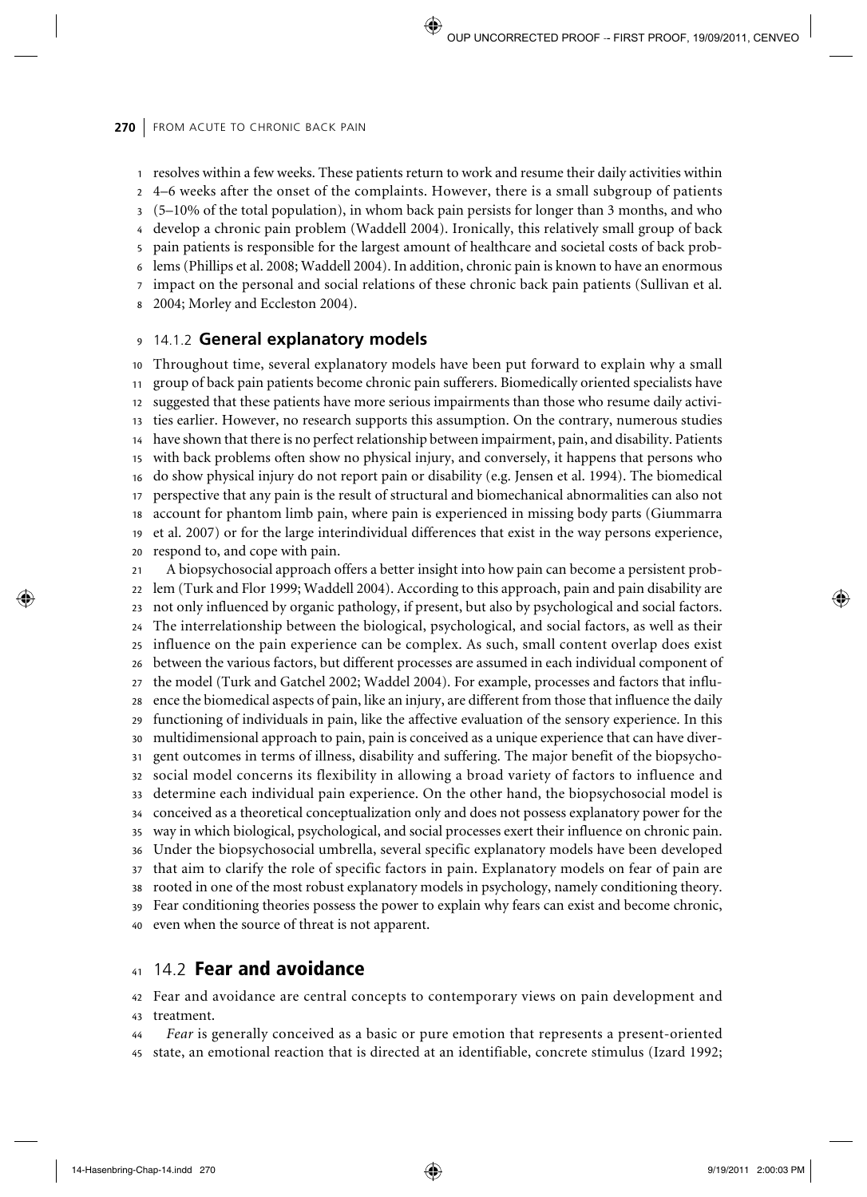8 7 6 5 4 3 2 1 resolves within a few weeks. These patients return to work and resume their daily activities within 4–6 weeks after the onset of the complaints. However, there is a small subgroup of patients (5–10 % of the total population), in whom back pain persists for longer than 3 months, and who develop a chronic pain problem (Waddell 2004). Ironically, this relatively small group of back pain patients is responsible for the largest amount of healthcare and societal costs of back problems (Phillips et al. 2008; Waddell 2004). In addition, chronic pain is known to have an enormous impact on the personal and social relations of these chronic back pain patients (Sullivan et al. 2004; Morley and Eccleston 2004).

 $\bigoplus$ 

#### 9 14.1.2 **General explanatory models**

20 19 18 17 16 15 14 13 12 11 10 Throughout time, several explanatory models have been put forward to explain why a small group of back pain patients become chronic pain sufferers. Biomedically oriented specialists have suggested that these patients have more serious impairments than those who resume daily activities earlier. However, no research supports this assumption. On the contrary, numerous studies have shown that there is no perfect relationship between impairment, pain, and disability. Patients with back problems often show no physical injury, and conversely, it happens that persons who do show physical injury do not report pain or disability (e.g. Jensen et al. 1994). The biomedical perspective that any pain is the result of structural and biomechanical abnormalities can also not account for phantom limb pain, where pain is experienced in missing body parts (Giummarra et al. 2007 ) or for the large interindividual differences that exist in the way persons experience, respond to, and cope with pain.

40 39 38 37 36 35 34 33 32 31 30  $29$ 28 27  $26$ 25 24 23 22 21 A biopsychosocial approach offers a better insight into how pain can become a persistent problem (Turk and Flor 1999; Waddell 2004). According to this approach, pain and pain disability are not only influenced by organic pathology, if present, but also by psychological and social factors. The interrelationship between the biological, psychological, and social factors, as well as their influence on the pain experience can be complex. As such, small content overlap does exist between the various factors, but different processes are assumed in each individual component of the model (Turk and Gatchel 2002; Waddel 2004). For example, processes and factors that influence the biomedical aspects of pain, like an injury, are different from those that influence the daily functioning of individuals in pain, like the affective evaluation of the sensory experience. In this multidimensional approach to pain, pain is conceived as a unique experience that can have divergent outcomes in terms of illness, disability and suffering. The major benefit of the biopsychosocial model concerns its flexibility in allowing a broad variety of factors to influence and determine each individual pain experience. On the other hand, the biopsychosocial model is conceived as a theoretical conceptualization only and does not possess explanatory power for the way in which biological, psychological, and social processes exert their influence on chronic pain. Under the biopsychosocial umbrella, several specific explanatory models have been developed that aim to clarify the role of specific factors in pain. Explanatory models on fear of pain are rooted in one of the most robust explanatory models in psychology, namely conditioning theory. Fear conditioning theories possess the power to explain why fears can exist and become chronic, even when the source of threat is not apparent.

#### 41 14.2 **Fear and avoidance**

43 42 Fear and avoidance are central concepts to contemporary views on pain development and treatment.

45 44 *Fear* is generally conceived as a basic or pure emotion that represents a present-oriented state, an emotional reaction that is directed at an identifiable, concrete stimulus (Izard 1992 ;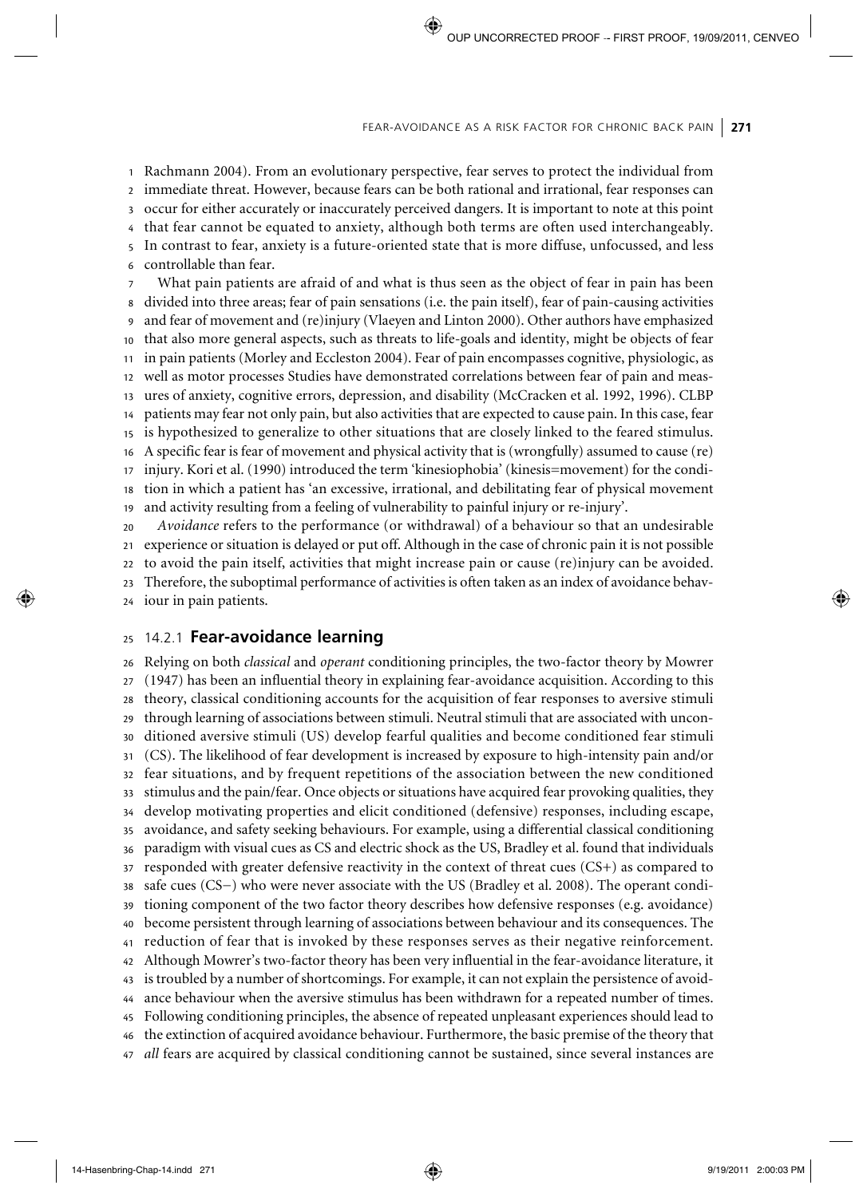6 5 4 3 2 1 Rachmann 2004 ). From an evolutionary perspective, fear serves to protect the individual from immediate threat. However, because fears can be both rational and irrational, fear responses can occur for either accurately or inaccurately perceived dangers. It is important to note at this point that fear cannot be equated to anxiety, although both terms are often used interchangeably. In contrast to fear, anxiety is a future-oriented state that is more diffuse, unfocussed, and less controllable than fear.

 $\bigcirc$ 

19 18 17 16 15 14 13 12 11 10 9 8 7 What pain patients are afraid of and what is thus seen as the object of fear in pain has been divided into three areas; fear of pain sensations (i.e. the pain itself), fear of pain-causing activities and fear of movement and (re)injury (Vlaeyen and Linton 2000). Other authors have emphasized that also more general aspects, such as threats to life-goals and identity, might be objects of fear in pain patients (Morley and Eccleston 2004 ). Fear of pain encompasses cognitive, physiologic, as well as motor processes Studies have demonstrated correlations between fear of pain and measures of anxiety, cognitive errors, depression, and disability (McCracken et al. 1992, 1996). CLBP patients may fear not only pain, but also activities that are expected to cause pain. In this case, fear is hypothesized to generalize to other situations that are closely linked to the feared stimulus. A specific fear is fear of movement and physical activity that is (wrongfully) assumed to cause (re) injury. Kori et al. ( 1990 ) introduced the term 'kinesiophobia' (kinesis=movement) for the condition in which a patient has 'an excessive, irrational, and debilitating fear of physical movement and activity resulting from a feeling of vulnerability to painful injury or re-injury'.

24 23  $22$ 21  $20$ *Avoidance* refers to the performance (or withdrawal) of a behaviour so that an undesirable experience or situation is delayed or put off. Although in the case of chronic pain it is not possible to avoid the pain itself, activities that might increase pain or cause (re)injury can be avoided. Therefore, the suboptimal performance of activities is often taken as an index of avoidance behaviour in pain patients.

#### 25 14.2.1 **Fear-avoidance learning**

47 46 45 44 43 42 41 40 39 38 37 36 35 34 33 32 31 30 29 28 27 26 Relying on both *classical* and *operant* conditioning principles, the two-factor theory by Mowrer ( 1947 ) has been an influential theory in explaining fear-avoidance acquisition. According to this theory, classical conditioning accounts for the acquisition of fear responses to aversive stimuli through learning of associations between stimuli. Neutral stimuli that are associated with unconditioned aversive stimuli (US) develop fearful qualities and become conditioned fear stimuli (CS). The likelihood of fear development is increased by exposure to high-intensity pain and/or fear situations, and by frequent repetitions of the association between the new conditioned stimulus and the pain/fear. Once objects or situations have acquired fear provoking qualities, they develop motivating properties and elicit conditioned (defensive) responses, including escape, avoidance, and safety seeking behaviours. For example, using a differential classical conditioning paradigm with visual cues as CS and electric shock as the US, Bradley et al. found that individuals responded with greater defensive reactivity in the context of threat cues (CS+) as compared to safe cues (CS-) who were never associate with the US (Bradley et al. 2008). The operant conditioning component of the two factor theory describes how defensive responses (e.g. avoidance) become persistent through learning of associations between behaviour and its consequences. The reduction of fear that is invoked by these responses serves as their negative reinforcement. Although Mowrer's two-factor theory has been very influential in the fear-avoidance literature, it is troubled by a number of shortcomings. For example, it can not explain the persistence of avoidance behaviour when the aversive stimulus has been withdrawn for a repeated number of times. Following conditioning principles, the absence of repeated unpleasant experiences should lead to the extinction of acquired avoidance behaviour. Furthermore, the basic premise of the theory that *all* fears are acquired by classical conditioning cannot be sustained, since several instances are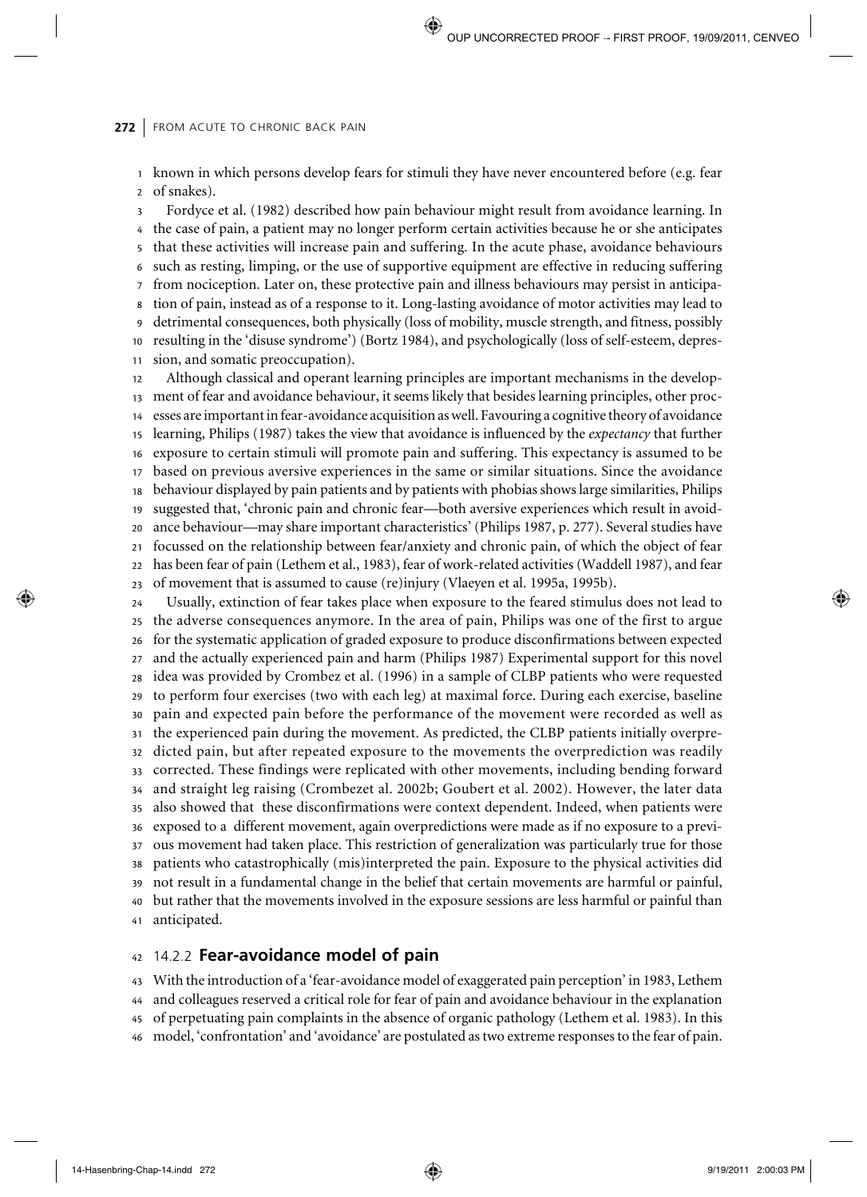2 1 known in which persons develop fears for stimuli they have never encountered before (e.g. fear of snakes).

 $\bigoplus$ 

11 10 9 8 7 6 5 4 3 Fordyce et al. ( 1982 ) described how pain behaviour might result from avoidance learning. In the case of pain, a patient may no longer perform certain activities because he or she anticipates that these activities will increase pain and suffering. In the acute phase, avoidance behaviours such as resting, limping, or the use of supportive equipment are effective in reducing suffering from nociception. Later on, these protective pain and illness behaviours may persist in anticipation of pain, instead as of a response to it. Long-lasting avoidance of motor activities may lead to detrimental consequences, both physically (loss of mobility, muscle strength, and fitness, possibly resulting in the 'disuse syndrome') (Bortz 1984 ), and psychologically (loss of self-esteem, depression, and somatic preoccupation).

23 22  $21$  $20$ 19 18 17 16 15 14 13 12 Although classical and operant learning principles are important mechanisms in the development of fear and avoidance behaviour, it seems likely that besides learning principles, other processes are important in fear-avoidance acquisition as well. Favouring a cognitive theory of avoidance learning, Philips ( 1987 ) takes the view that avoidance is influenced by the *expectancy* that further exposure to certain stimuli will promote pain and suffering. This expectancy is assumed to be based on previous aversive experiences in the same or similar situations. Since the avoidance behaviour displayed by pain patients and by patients with phobias shows large similarities, Philips suggested that, 'chronic pain and chronic fear — both aversive experiences which result in avoidance behaviour—may share important characteristics' (Philips 1987, p. 277). Several studies have focussed on the relationship between fear/anxiety and chronic pain, of which the object of fear has been fear of pain (Lethem et al., 1983), fear of work-related activities (Waddell 1987), and fear of movement that is assumed to cause (re)injury (Vlaeyen et al. 1995a, 1995b).

41 40 39 38 37 36 35 34 33 32 31 30 29 28 27 26 25 24 Usually, extinction of fear takes place when exposure to the feared stimulus does not lead to the adverse consequences anymore. In the area of pain, Philips was one of the first to argue for the systematic application of graded exposure to produce disconfirmations between expected and the actually experienced pain and harm (Philips 1987 ) Experimental support for this novel idea was provided by Crombez et al. ( 1996 ) in a sample of CLBP patients who were requested to perform four exercises (two with each leg) at maximal force. During each exercise, baseline pain and expected pain before the performance of the movement were recorded as well as the experienced pain during the movement. As predicted, the CLBP patients initially overpredicted pain, but after repeated exposure to the movements the overprediction was readily corrected. These findings were replicated with other movements, including bending forward and straight leg raising (Crombezet al. 2002b; Goubert et al. 2002). However, the later data also showed that these disconfirmations were context dependent. Indeed, when patients were exposed to a different movement, again overpredictions were made as if no exposure to a previous movement had taken place. This restriction of generalization was particularly true for those patients who catastrophically (mis)interpreted the pain. Exposure to the physical activities did not result in a fundamental change in the belief that certain movements are harmful or painful, but rather that the movements involved in the exposure sessions are less harmful or painful than anticipated.

#### 42 14.2.2 **Fear-avoidance model of pain**

46 45 44 43 With the introduction of a 'fear-avoidance model of exaggerated pain perception' in 1983, Lethem and colleagues reserved a critical role for fear of pain and avoidance behaviour in the explanation of perpetuating pain complaints in the absence of organic pathology (Lethem et al. 1983 ). In this model, 'confrontation' and 'avoidance' are postulated as two extreme responses to the fear of pain.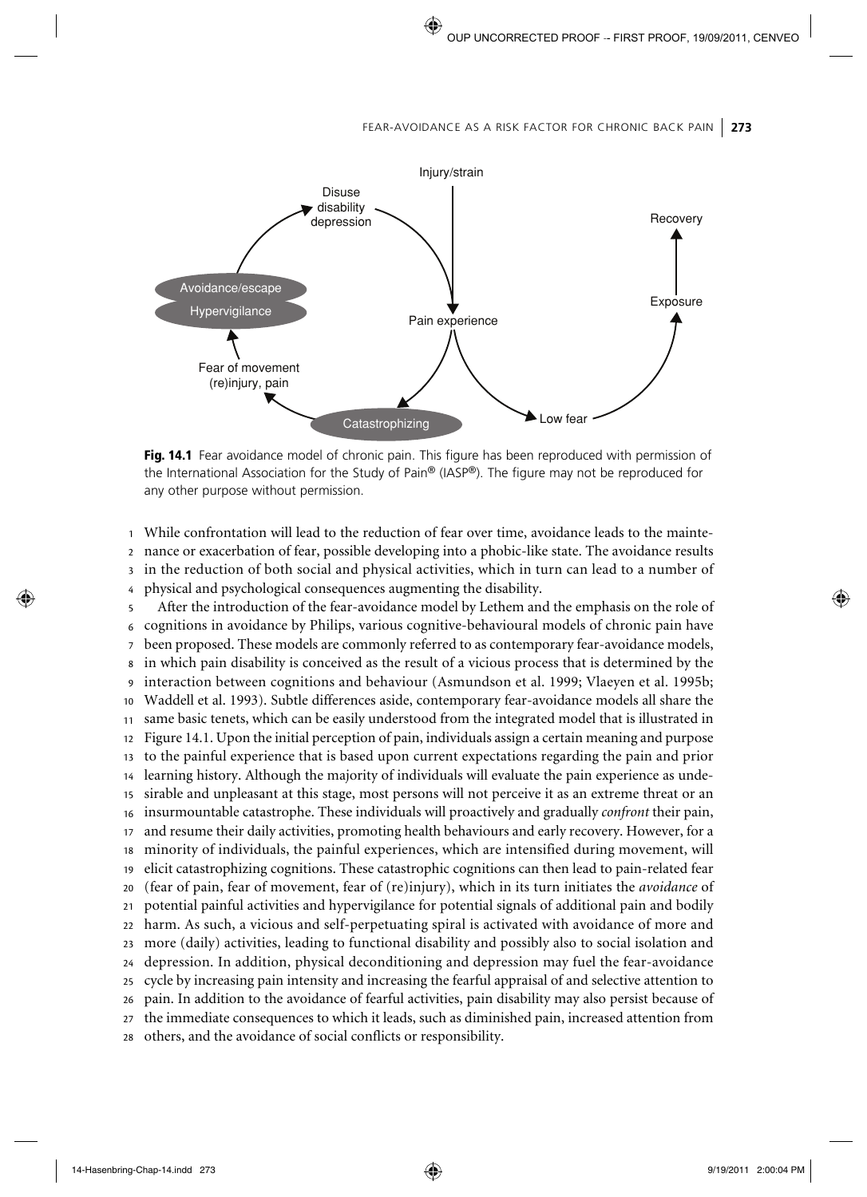

⊕

**Fig. 14.1** Fear avoidance model of chronic pain. This figure has been reproduced with permission of the International Association for the Study of Pain® (IASP®). The figure may not be reproduced for any other purpose without permission.

4 3 2 1 While confrontation will lead to the reduction of fear over time, avoidance leads to the maintenance or exacerbation of fear, possible developing into a phobic-like state. The avoidance results in the reduction of both social and physical activities, which in turn can lead to a number of physical and psychological consequences augmenting the disability.

28 27 26 25  $24$ 23 22 21  $20$ 19 18 17 16 15 14 13 12 11 10 9 8 7 6 5 After the introduction of the fear-avoidance model by Lethem and the emphasis on the role of cognitions in avoidance by Philips, various cognitive-behavioural models of chronic pain have been proposed. These models are commonly referred to as contemporary fear-avoidance models, in which pain disability is conceived as the result of a vicious process that is determined by the interaction between cognitions and behaviour (Asmundson et al. 1999; Vlaeven et al. 1995b; Waddell et al. 1993). Subtle differences aside, contemporary fear-avoidance models all share the same basic tenets, which can be easily understood from the integrated model that is illustrated in Figure 14.1 . Upon the initial perception of pain, individuals assign a certain meaning and purpose to the painful experience that is based upon current expectations regarding the pain and prior learning history. Although the majority of individuals will evaluate the pain experience as undesirable and unpleasant at this stage, most persons will not perceive it as an extreme threat or an insurmountable catastrophe. These individuals will proactively and gradually *confront* their pain, and resume their daily activities, promoting health behaviours and early recovery. However, for a minority of individuals, the painful experiences, which are intensified during movement, will elicit catastrophizing cognitions. These catastrophic cognitions can then lead to pain-related fear (fear of pain, fear of movement, fear of (re)injury), which in its turn initiates the *avoidance* of potential painful activities and hypervigilance for potential signals of additional pain and bodily harm. As such, a vicious and self-perpetuating spiral is activated with avoidance of more and more (daily) activities, leading to functional disability and possibly also to social isolation and depression. In addition, physical deconditioning and depression may fuel the fear-avoidance cycle by increasing pain intensity and increasing the fearful appraisal of and selective attention to pain. In addition to the avoidance of fearful activities, pain disability may also persist because of the immediate consequences to which it leads, such as diminished pain, increased attention from others, and the avoidance of social conflicts or responsibility.

⊕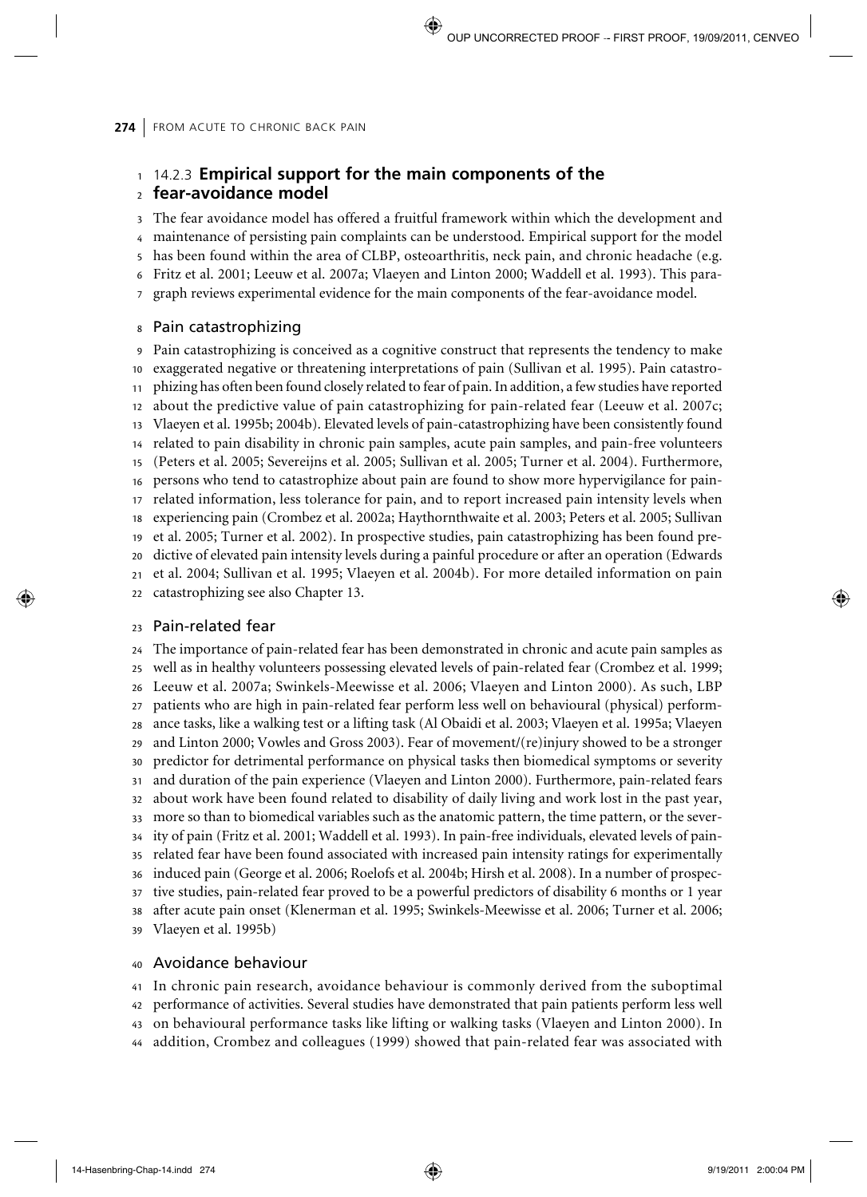## <sup>1</sup> 14.2.3 **Empirical support for the main components of the**

#### 2 **fear-avoidance model**

6 5 4 3 The fear avoidance model has offered a fruitful framework within which the development and maintenance of persisting pain complaints can be understood. Empirical support for the model has been found within the area of CLBP, osteoarthritis, neck pain, and chronic headache (e.g. Fritz et al. 2001; Leeuw et al. 2007a; Vlaeyen and Linton 2000; Waddell et al. 1993). This para-

⊕

7 graph reviews experimental evidence for the main components of the fear-avoidance model.

#### 8 Pain catastrophizing

22 21 20 19 18 17 16 15 14 13 12 11 10 9 Pain catastrophizing is conceived as a cognitive construct that represents the tendency to make exaggerated negative or threatening interpretations of pain (Sullivan et al. 1995 ). Pain catastrophizing has often been found closely related to fear of pain. In addition, a few studies have reported about the predictive value of pain catastrophizing for pain-related fear (Leeuw et al. 2007c; Vlaeyen et al. 1995b; 2004b). Elevated levels of pain-catastrophizing have been consistently found related to pain disability in chronic pain samples, acute pain samples, and pain-free volunteers (Peters et al. 2005; Severeijns et al. 2005; Sullivan et al. 2005; Turner et al. 2004). Furthermore, persons who tend to catastrophize about pain are found to show more hypervigilance for painrelated information, less tolerance for pain, and to report increased pain intensity levels when experiencing pain (Crombez et al. 2002a; Haythornthwaite et al. 2003; Peters et al. 2005; Sullivan et al. 2005; Turner et al. 2002). In prospective studies, pain catastrophizing has been found predictive of elevated pain intensity levels during a painful procedure or after an operation (Edwards et al. 2004; Sullivan et al. 1995; Vlaeyen et al. 2004b). For more detailed information on pain catastrophizing see also Chapter 13.

#### 23 Pain-related fear

39 38 37 36 35 34 33 32 31 30  $29$ 28 27 26 25 24 The importance of pain-related fear has been demonstrated in chronic and acute pain samples as well as in healthy volunteers possessing elevated levels of pain-related fear (Crombez et al. 1999; Leeuw et al. 2007a; Swinkels-Meewisse et al. 2006; Vlaeyen and Linton 2000). As such, LBP patients who are high in pain-related fear perform less well on behavioural (physical) performance tasks, like a walking test or a lifting task (Al Obaidi et al. 2003; Vlaeyen et al. 1995a; Vlaeyen and Linton 2000; Vowles and Gross 2003). Fear of movement/(re)injury showed to be a stronger predictor for detrimental performance on physical tasks then biomedical symptoms or severity and duration of the pain experience (Vlaeyen and Linton 2000). Furthermore, pain-related fears about work have been found related to disability of daily living and work lost in the past year, more so than to biomedical variables such as the anatomic pattern, the time pattern, or the severity of pain (Fritz et al. 2001; Waddell et al. 1993). In pain-free individuals, elevated levels of painrelated fear have been found associated with increased pain intensity ratings for experimentally induced pain (George et al. 2006; Roelofs et al. 2004b; Hirsh et al. 2008). In a number of prospective studies, pain-related fear proved to be a powerful predictors of disability 6 months or 1 year after acute pain onset (Klenerman et al. 1995; Swinkels-Meewisse et al. 2006; Turner et al. 2006; Vlaeyen et al. 1995b )

#### 40 Avoidance behaviour

44 43 42 41 In chronic pain research, avoidance behaviour is commonly derived from the suboptimal performance of activities. Several studies have demonstrated that pain patients perform less well on behavioural performance tasks like lifting or walking tasks (Vlaeyen and Linton 2000). In addition, Crombez and colleagues (1999) showed that pain-related fear was associated with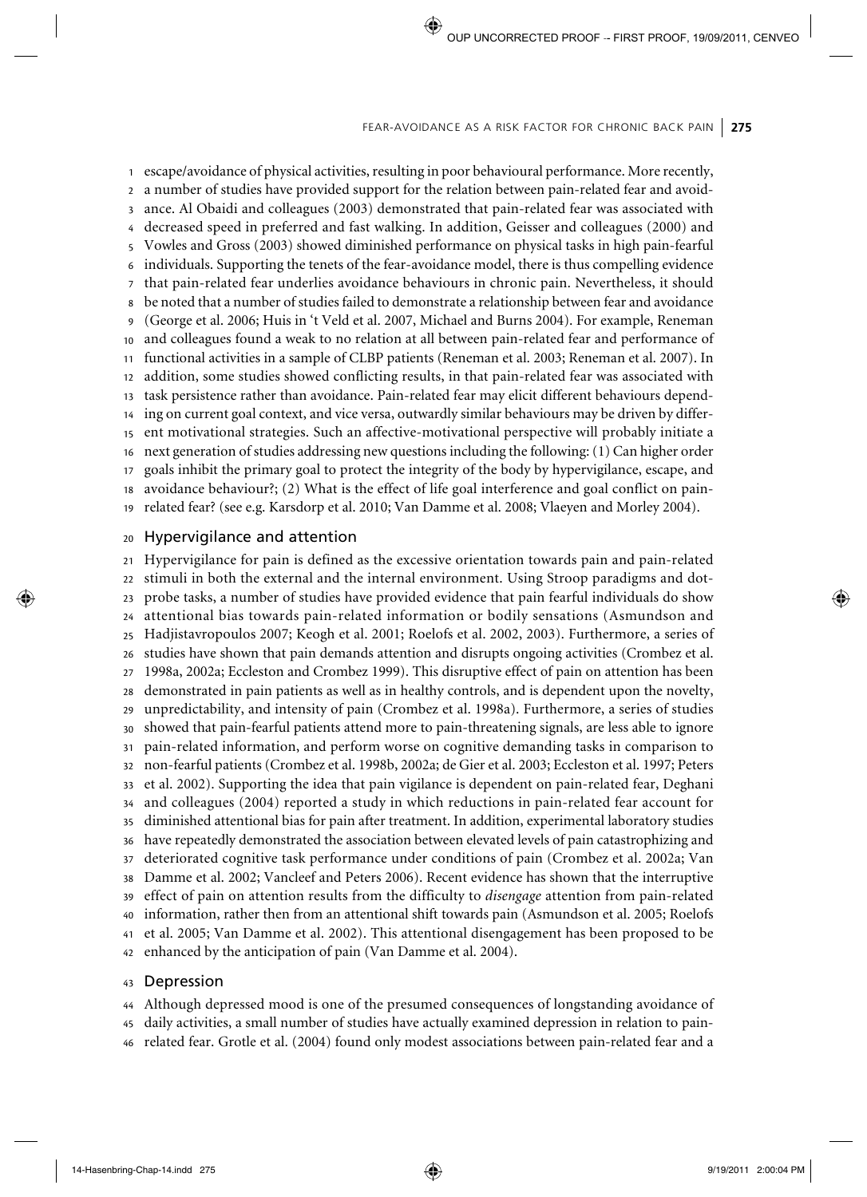19 18 17 16 15 14 13 12 11 10 9 8 7 6 5 4 3 2 1 escape/avoidance of physical activities, resulting in poor behavioural performance. More recently, a number of studies have provided support for the relation between pain-related fear and avoidance. Al Obaidi and colleagues (2003) demonstrated that pain-related fear was associated with decreased speed in preferred and fast walking. In addition, Geisser and colleagues ( 2000 ) and Vowles and Gross ( 2003 ) showed diminished performance on physical tasks in high pain-fearful individuals. Supporting the tenets of the fear-avoidance model, there is thus compelling evidence that pain-related fear underlies avoidance behaviours in chronic pain. Nevertheless, it should be noted that a number of studies failed to demonstrate a relationship between fear and avoidance (George et al. 2006; Huis in 't Veld et al. 2007, Michael and Burns 2004). For example, Reneman and colleagues found a weak to no relation at all between pain-related fear and performance of functional activities in a sample of CLBP patients (Reneman et al. 2003 ; Reneman et al. 2007 ). In addition, some studies showed conflicting results, in that pain-related fear was associated with task persistence rather than avoidance. Pain-related fear may elicit different behaviours depending on current goal context, and vice versa, outwardly similar behaviours may be driven by different motivational strategies. Such an affective-motivational perspective will probably initiate a next generation of studies addressing new questions including the following: (1) Can higher order goals inhibit the primary goal to protect the integrity of the body by hypervigilance, escape, and avoidance behaviour?; (2) What is the effect of life goal interference and goal conflict on painrelated fear? (see e.g. Karsdorp et al. 2010; Van Damme et al. 2008; Vlaeyen and Morley 2004).

 $\bigcirc$ 

#### 20 Hypervigilance and attention

42 41 40 39 38 37 36 35 34 33 32 31 30 29 28 27 26 25 24 23 22 21 Hypervigilance for pain is defined as the excessive orientation towards pain and pain-related stimuli in both the external and the internal environment. Using Stroop paradigms and dotprobe tasks, a number of studies have provided evidence that pain fearful individuals do show attentional bias towards pain-related information or bodily sensations (Asmundson and Hadjistavropoulos 2007; Keogh et al. 2001; Roelofs et al. 2002, 2003). Furthermore, a series of studies have shown that pain demands attention and disrupts ongoing activities (Crombez et al. 1998a , 2002a ; Eccleston and Crombez 1999 ). This disruptive effect of pain on attention has been demonstrated in pain patients as well as in healthy controls, and is dependent upon the novelty, unpredictability, and intensity of pain (Crombez et al. 1998a ). Furthermore, a series of studies showed that pain-fearful patients attend more to pain-threatening signals, are less able to ignore pain-related information, and perform worse on cognitive demanding tasks in comparison to non-fearful patients (Crombez et al. 1998b , 2002a ; de Gier et al. 2003 ; Eccleston et al. 1997 ; Peters et al. 2002 ). Supporting the idea that pain vigilance is dependent on pain-related fear, Deghani and colleagues ( 2004 ) reported a study in which reductions in pain-related fear account for diminished attentional bias for pain after treatment. In addition, experimental laboratory studies have repeatedly demonstrated the association between elevated levels of pain catastrophizing and deteriorated cognitive task performance under conditions of pain (Crombez et al. 2002a; Van Damme et al. 2002; Vancleef and Peters 2006). Recent evidence has shown that the interruptive effect of pain on attention results from the difficulty to *disengage* attention from pain-related information, rather then from an attentional shift towards pain (Asmundson et al. 2005; Roelofs et al. 2005; Van Damme et al. 2002). This attentional disengagement has been proposed to be enhanced by the anticipation of pain (Van Damme et al. 2004).

#### 43 Depression

45 44 Although depressed mood is one of the presumed consequences of longstanding avoidance of daily activities, a small number of studies have actually examined depression in relation to pain-

46 related fear. Grotle et al. ( 2004 ) found only modest associations between pain-related fear and a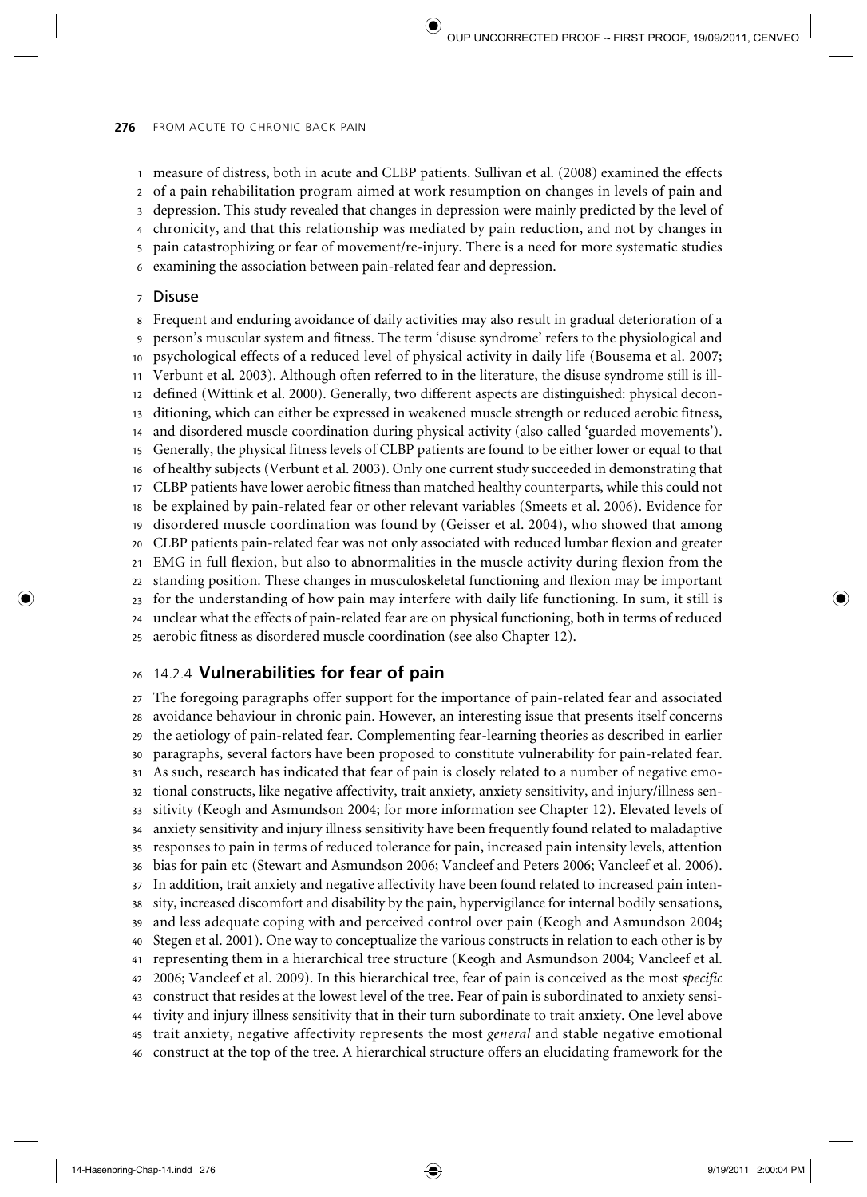6 5 4 3 2 1 measure of distress, both in acute and CLBP patients. Sullivan et al. ( 2008 ) examined the effects of a pain rehabilitation program aimed at work resumption on changes in levels of pain and depression. This study revealed that changes in depression were mainly predicted by the level of chronicity, and that this relationship was mediated by pain reduction, and not by changes in pain catastrophizing or fear of movement/re-injury. There is a need for more systematic studies examining the association between pain-related fear and depression.

 $\bigcirc$ 

#### 7 Disuse

25 24 23 22 21 20 19 18 17 16 15 14 13 12 11 10 9 8 Frequent and enduring avoidance of daily activities may also result in gradual deterioration of a person's muscular system and fitness. The term 'disuse syndrome' refers to the physiological and psychological effects of a reduced level of physical activity in daily life (Bousema et al. 2007; Verbunt et al. 2003 ). Although often referred to in the literature, the disuse syndrome still is illdefined (Wittink et al. 2000). Generally, two different aspects are distinguished: physical deconditioning, which can either be expressed in weakened muscle strength or reduced aerobic fitness, and disordered muscle coordination during physical activity (also called 'guarded movements'). Generally, the physical fitness levels of CLBP patients are found to be either lower or equal to that of healthy subjects (Verbunt et al. 2003 ). Only one current study succeeded in demonstrating that CLBP patients have lower aerobic fitness than matched healthy counterparts, while this could not be explained by pain-related fear or other relevant variables (Smeets et al. 2006 ). Evidence for disordered muscle coordination was found by (Geisser et al. 2004 ), who showed that among CLBP patients pain-related fear was not only associated with reduced lumbar flexion and greater EMG in full flexion, but also to abnormalities in the muscle activity during flexion from the standing position. These changes in musculoskeletal functioning and flexion may be important for the understanding of how pain may interfere with daily life functioning. In sum, it still is unclear what the effects of pain-related fear are on physical functioning, both in terms of reduced aerobic fitness as disordered muscle coordination (see also Chapter 12).

#### 26 14.2.4 **Vulnerabilities for fear of pain**

46 45 44 43 42 41 40 39 38 37 36 35 34 33 32 31 30 29 28  $27$  The foregoing paragraphs offer support for the importance of pain-related fear and associated avoidance behaviour in chronic pain. However, an interesting issue that presents itself concerns the aetiology of pain-related fear. Complementing fear-learning theories as described in earlier paragraphs, several factors have been proposed to constitute vulnerability for pain-related fear. As such, research has indicated that fear of pain is closely related to a number of negative emotional constructs, like negative affectivity, trait anxiety, anxiety sensitivity, and injury/illness sensitivity (Keogh and Asmundson 2004; for more information see Chapter 12). Elevated levels of anxiety sensitivity and injury illness sensitivity have been frequently found related to maladaptive responses to pain in terms of reduced tolerance for pain, increased pain intensity levels, attention bias for pain etc (Stewart and Asmundson 2006; Vancleef and Peters 2006; Vancleef et al. 2006). In addition, trait anxiety and negative affectivity have been found related to increased pain intensity, increased discomfort and disability by the pain, hypervigilance for internal bodily sensations, and less adequate coping with and perceived control over pain (Keogh and Asmundson 2004; Stegen et al. 2001 ). One way to conceptualize the various constructs in relation to each other is by representing them in a hierarchical tree structure (Keogh and Asmundson 2004; Vancleef et al. 2006 ; Vancleef et al. 2009 ). In this hierarchical tree, fear of pain is conceived as the most *specific* construct that resides at the lowest level of the tree. Fear of pain is subordinated to anxiety sensitivity and injury illness sensitivity that in their turn subordinate to trait anxiety. One level above trait anxiety, negative affectivity represents the most *general* and stable negative emotional construct at the top of the tree. A hierarchical structure offers an elucidating framework for the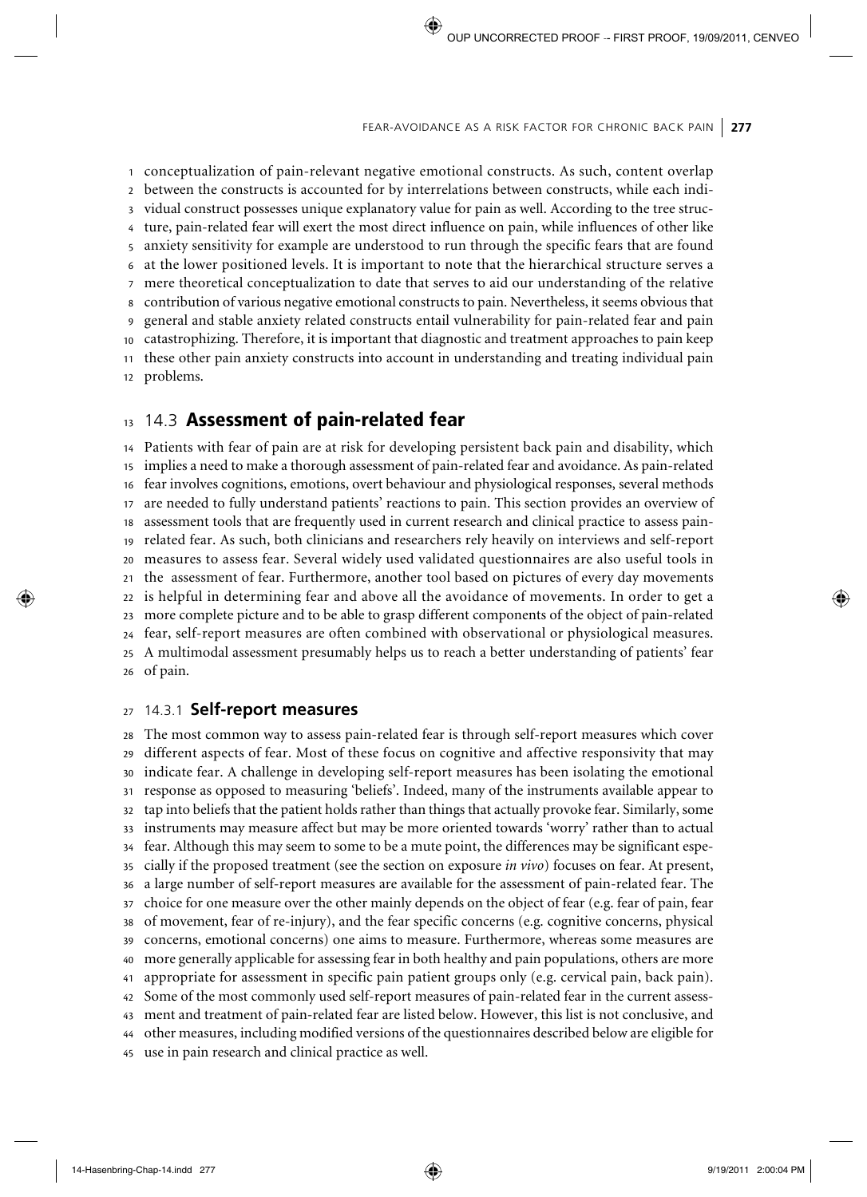12 11 10 9 8 7 6 5 4 3 2 1 conceptualization of pain-relevant negative emotional constructs. As such, content overlap between the constructs is accounted for by interrelations between constructs, while each individual construct possesses unique explanatory value for pain as well. According to the tree structure, pain-related fear will exert the most direct influence on pain, while influences of other like anxiety sensitivity for example are understood to run through the specific fears that are found at the lower positioned levels. It is important to note that the hierarchical structure serves a mere theoretical conceptualization to date that serves to aid our understanding of the relative contribution of various negative emotional constructs to pain. Nevertheless, it seems obvious that general and stable anxiety related constructs entail vulnerability for pain-related fear and pain catastrophizing. Therefore, it is important that diagnostic and treatment approaches to pain keep these other pain anxiety constructs into account in understanding and treating individual pain problems.

 $\bigcirc$ 

#### 13 14.3 **Assessment of pain-related fear**

26 25 24  $23$ 22 21 20 19 18 17 16 15 14 Patients with fear of pain are at risk for developing persistent back pain and disability, which implies a need to make a thorough assessment of pain-related fear and avoidance. As pain-related fear involves cognitions, emotions, overt behaviour and physiological responses, several methods are needed to fully understand patients' reactions to pain. This section provides an overview of assessment tools that are frequently used in current research and clinical practice to assess painrelated fear. As such, both clinicians and researchers rely heavily on interviews and self-report measures to assess fear. Several widely used validated questionnaires are also useful tools in the assessment of fear. Furthermore, another tool based on pictures of every day movements is helpful in determining fear and above all the avoidance of movements. In order to get a more complete picture and to be able to grasp different components of the object of pain-related fear, self-report measures are often combined with observational or physiological measures. A multimodal assessment presumably helps us to reach a better understanding of patients' fear of pain.

#### 27 14.3.1 **Self-report measures**

45 44 43 42 41 40 39 38 37 36 35 34 33 32 31 30  $29$  $28$  The most common way to assess pain-related fear is through self-report measures which cover different aspects of fear. Most of these focus on cognitive and affective responsivity that may indicate fear. A challenge in developing self-report measures has been isolating the emotional response as opposed to measuring 'beliefs'. Indeed, many of the instruments available appear to tap into beliefs that the patient holds rather than things that actually provoke fear. Similarly, some instruments may measure affect but may be more oriented towards 'worry' rather than to actual fear. Although this may seem to some to be a mute point, the differences may be significant especially if the proposed treatment (see the section on exposure *in vivo* ) focuses on fear. At present, a large number of self-report measures are available for the assessment of pain-related fear. The choice for one measure over the other mainly depends on the object of fear (e.g. fear of pain, fear of movement, fear of re-injury), and the fear specific concerns (e.g. cognitive concerns, physical concerns, emotional concerns) one aims to measure. Furthermore, whereas some measures are more generally applicable for assessing fear in both healthy and pain populations, others are more appropriate for assessment in specific pain patient groups only (e.g. cervical pain, back pain). Some of the most commonly used self-report measures of pain-related fear in the current assessment and treatment of pain-related fear are listed below. However, this list is not conclusive, and other measures, including modified versions of the questionnaires described below are eligible for use in pain research and clinical practice as well.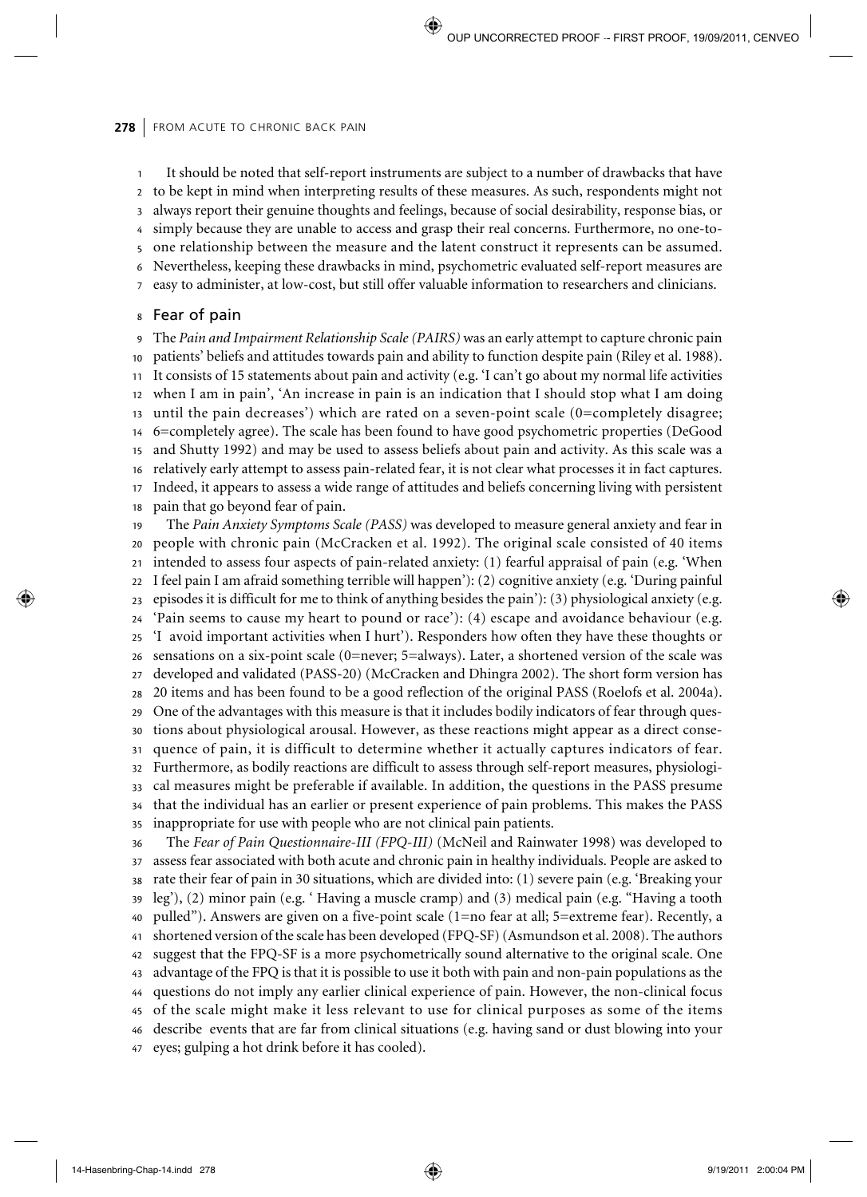7 6 5 4 3 2 1 It should be noted that self-report instruments are subject to a number of drawbacks that have to be kept in mind when interpreting results of these measures. As such, respondents might not always report their genuine thoughts and feelings, because of social desirability, response bias, or simply because they are unable to access and grasp their real concerns. Furthermore, no one-toone relationship between the measure and the latent construct it represents can be assumed. Nevertheless, keeping these drawbacks in mind, psychometric evaluated self-report measures are easy to administer, at low-cost, but still offer valuable information to researchers and clinicians.

 $\bigoplus$ 

#### 8 Fear of pain

18 17 16 15 14 13 12 11 10 9 The *Pain and Impairment Relationship Scale (PAIRS)* was an early attempt to capture chronic pain patients' beliefs and attitudes towards pain and ability to function despite pain (Riley et al. 1988). It consists of 15 statements about pain and activity (e.g. 'I can't go about my normal life activities when I am in pain', 'An increase in pain is an indication that I should stop what I am doing until the pain decreases') which are rated on a seven-point scale (0=completely disagree; 6=completely agree). The scale has been found to have good psychometric properties (DeGood and Shutty 1992 ) and may be used to assess beliefs about pain and activity. As this scale was a relatively early attempt to assess pain-related fear, it is not clear what processes it in fact captures. Indeed, it appears to assess a wide range of attitudes and beliefs concerning living with persistent pain that go beyond fear of pain.

35 34 33 32 31 30 29 28 27 26 25 24 23 22 21 20 19 The *Pain Anxiety Symptoms Scale (PASS)* was developed to measure general anxiety and fear in people with chronic pain (McCracken et al. 1992). The original scale consisted of 40 items intended to assess four aspects of pain-related anxiety: (1) fearful appraisal of pain (e.g. 'When I feel pain I am afraid something terrible will happen'): (2) cognitive anxiety (e.g. 'During painful episodes it is difficult for me to think of anything besides the pain'): (3) physiological anxiety (e.g. 'Pain seems to cause my heart to pound or race'): (4) escape and avoidance behaviour (e.g. 'I avoid important activities when I hurt'). Responders how often they have these thoughts or sensations on a six-point scale (0=never; 5=always). Later, a shortened version of the scale was developed and validated (PASS-20) (McCracken and Dhingra 2002). The short form version has 20 items and has been found to be a good reflection of the original PASS (Roelofs et al. 2004a). One of the advantages with this measure is that it includes bodily indicators of fear through questions about physiological arousal. However, as these reactions might appear as a direct consequence of pain, it is difficult to determine whether it actually captures indicators of fear. Furthermore, as bodily reactions are difficult to assess through self-report measures, physiological measures might be preferable if available. In addition, the questions in the PASS presume that the individual has an earlier or present experience of pain problems. This makes the PASS inappropriate for use with people who are not clinical pain patients.

47 46 45 44 43 42 41 40 39 38 37 36 The *Fear of Pain Questionnaire-III (FPQ-III)* (McNeil and Rainwater 1998 ) was developed to assess fear associated with both acute and chronic pain in healthy individuals. People are asked to rate their fear of pain in 30 situations, which are divided into: (1) severe pain (e.g. 'Breaking your leg'), (2) minor pain (e.g. ' Having a muscle cramp) and (3) medical pain (e.g. "Having a tooth pulled"). Answers are given on a five-point scale (1=no fear at all; 5=extreme fear). Recently, a shortened version of the scale has been developed (FPQ-SF) (Asmundson et al. 2008 ). The authors suggest that the FPQ-SF is a more psychometrically sound alternative to the original scale. One advantage of the FPQ is that it is possible to use it both with pain and non-pain populations as the questions do not imply any earlier clinical experience of pain. However, the non-clinical focus of the scale might make it less relevant to use for clinical purposes as some of the items describe events that are far from clinical situations (e.g. having sand or dust blowing into your eyes; gulping a hot drink before it has cooled).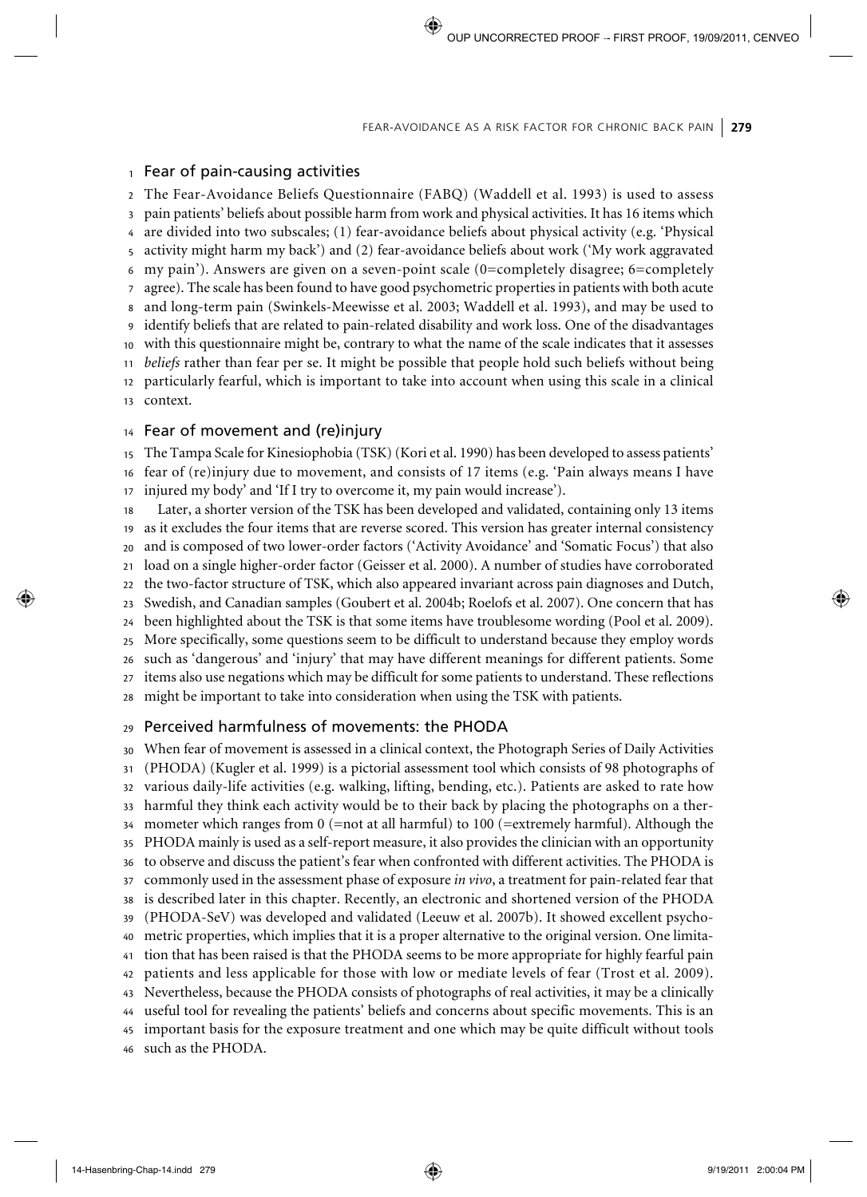### <sup>1</sup> Fear of pain-causing activities

13 12 11 10 9 8 7 6 5 4 3 2 The Fear-Avoidance Beliefs Questionnaire (FABQ) (Waddell et al. 1993 ) is used to assess pain patients' beliefs about possible harm from work and physical activities. It has 16 items which are divided into two subscales; (1) fear-avoidance beliefs about physical activity (e.g. 'Physical activity might harm my back') and (2) fear-avoidance beliefs about work ('My work aggravated my pain'). Answers are given on a seven-point scale (0=completely disagree; 6=completely agree). The scale has been found to have good psychometric properties in patients with both acute and long-term pain (Swinkels-Meewisse et al. 2003 ; Waddell et al. 1993 ), and may be used to identify beliefs that are related to pain-related disability and work loss. One of the disadvantages with this questionnaire might be, contrary to what the name of the scale indicates that it assesses *beliefs* rather than fear per se. It might be possible that people hold such beliefs without being particularly fearful, which is important to take into account when using this scale in a clinical context.

⊕

#### 14 Fear of movement and (re)injury

17 16 15 The Tampa Scale for Kinesiophobia (TSK) (Kori et al. 1990 ) has been developed to assess patients' fear of (re)injury due to movement, and consists of 17 items (e.g. 'Pain always means I have injured my body' and 'If I try to overcome it, my pain would increase').

28 27 26 25 24 23 22 21 20 19 18 Later, a shorter version of the TSK has been developed and validated, containing only 13 items as it excludes the four items that are reverse scored. This version has greater internal consistency and is composed of two lower-order factors ('Activity Avoidance' and 'Somatic Focus') that also load on a single higher-order factor (Geisser et al. 2000). A number of studies have corroborated the two-factor structure of TSK, which also appeared invariant across pain diagnoses and Dutch, Swedish, and Canadian samples (Goubert et al. 2004b; Roelofs et al. 2007). One concern that has been highlighted about the TSK is that some items have troublesome wording (Pool et al. 2009). More specifically, some questions seem to be difficult to understand because they employ words such as 'dangerous' and 'injury' that may have different meanings for different patients. Some items also use negations which may be difficult for some patients to understand. These reflections might be important to take into consideration when using the TSK with patients.

#### $29$ Perceived harmfulness of movements: the PHODA

46 45 44 43  $42$ 41 40 39 38 37 36 35 34 33 32 31 30 When fear of movement is assessed in a clinical context, the Photograph Series of Daily Activities (PHODA) (Kugler et al. 1999 ) is a pictorial assessment tool which consists of 98 photographs of various daily-life activities (e.g. walking, lifting, bending, etc.). Patients are asked to rate how harmful they think each activity would be to their back by placing the photographs on a thermometer which ranges from 0 (=not at all harmful) to 100 (=extremely harmful). Although the PHODA mainly is used as a self-report measure, it also provides the clinician with an opportunity to observe and discuss the patient's fear when confronted with different activities. The PHODA is commonly used in the assessment phase of exposure *in vivo* , a treatment for pain-related fear that is described later in this chapter. Recently, an electronic and shortened version of the PHODA (PHODA-SeV) was developed and validated (Leeuw et al. 2007b ). It showed excellent psychometric properties, which implies that it is a proper alternative to the original version. One limitation that has been raised is that the PHODA seems to be more appropriate for highly fearful pain patients and less applicable for those with low or mediate levels of fear (Trost et al. 2009 ). Nevertheless, because the PHODA consists of photographs of real activities, it may be a clinically useful tool for revealing the patients' beliefs and concerns about specific movements. This is an important basis for the exposure treatment and one which may be quite difficult without tools such as the PHODA.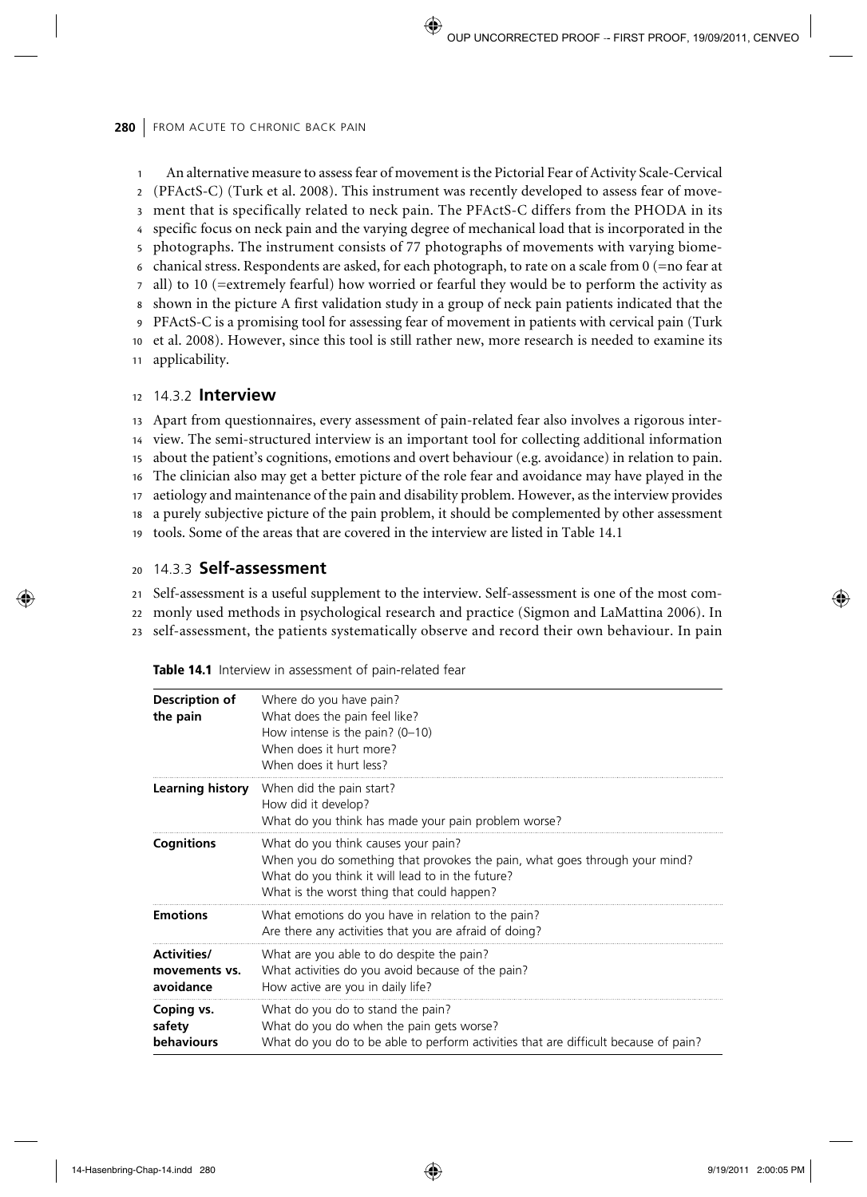11 10 9 8 7 6 5 4 3 2 1 An alternative measure to assess fear of movement is the Pictorial Fear of Activity Scale-Cervical (PFActS-C) (Turk et al. 2008). This instrument was recently developed to assess fear of movement that is specifically related to neck pain. The PFActS-C differs from the PHODA in its specific focus on neck pain and the varying degree of mechanical load that is incorporated in the photographs. The instrument consists of 77 photographs of movements with varying biomechanical stress. Respondents are asked, for each photograph, to rate on a scale from 0 (=no fear at all) to 10 (=extremely fearful) how worried or fearful they would be to perform the activity as shown in the picture A first validation study in a group of neck pain patients indicated that the PFActS-C is a promising tool for assessing fear of movement in patients with cervical pain (Turk et al. 2008 ). However, since this tool is still rather new, more research is needed to examine its applicability.

 $\bigoplus$ 

#### 12 14.3.2 **Interview**

19 18 17 16 15 14 13 Apart from questionnaires, every assessment of pain-related fear also involves a rigorous interview. The semi-structured interview is an important tool for collecting additional information about the patient's cognitions, emotions and overt behaviour (e.g. avoidance) in relation to pain. The clinician also may get a better picture of the role fear and avoidance may have played in the aetiology and maintenance of the pain and disability problem. However, as the interview provides a purely subjective picture of the pain problem, it should be complemented by other assessment tools. Some of the areas that are covered in the interview are listed in Table 14.1

#### $20$ 14.3.3 **Self-assessment**

23 22 21 Self-assessment is a useful supplement to the interview. Self-assessment is one of the most commonly used methods in psychological research and practice (Sigmon and LaMattina 2006). In self-assessment, the patients systematically observe and record their own behaviour. In pain

| Description of<br>the pain                       | Where do you have pain?<br>What does the pain feel like?<br>How intense is the pain? $(0-10)$<br>When does it hurt more?<br>When does it hurt less?                                                                 |
|--------------------------------------------------|---------------------------------------------------------------------------------------------------------------------------------------------------------------------------------------------------------------------|
| Learning history                                 | When did the pain start?<br>How did it develop?<br>What do you think has made your pain problem worse?                                                                                                              |
| Cognitions                                       | What do you think causes your pain?<br>When you do something that provokes the pain, what goes through your mind?<br>What do you think it will lead to in the future?<br>What is the worst thing that could happen? |
| <b>Emotions</b>                                  | What emotions do you have in relation to the pain?<br>Are there any activities that you are afraid of doing?                                                                                                        |
| <b>Activities/</b><br>movements vs.<br>avoidance | What are you able to do despite the pain?<br>What activities do you avoid because of the pain?<br>How active are you in daily life?                                                                                 |
| Coping vs.<br>safety<br>behaviours               | What do you do to stand the pain?<br>What do you do when the pain gets worse?<br>What do you do to be able to perform activities that are difficult because of pain?                                                |

**Table 14.1** Interview in assessment of pain-related fear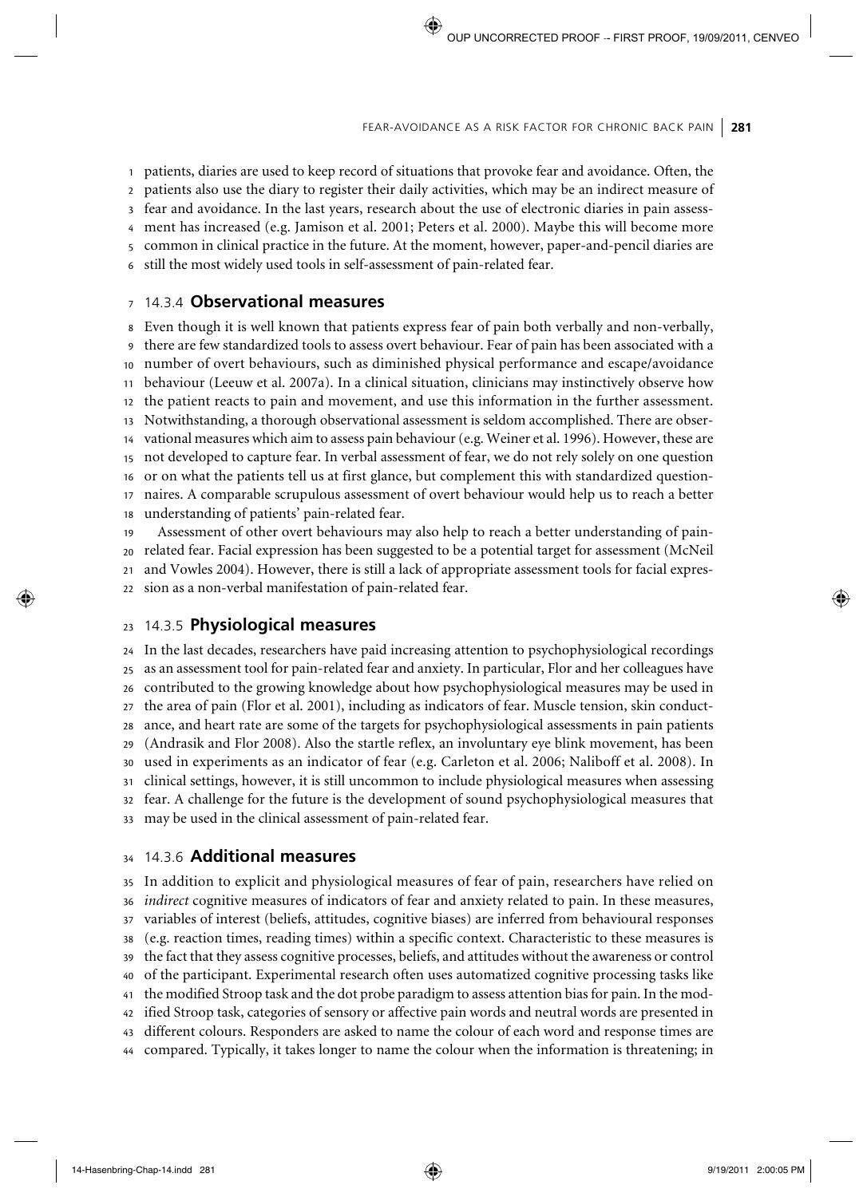1 patients, diaries are used to keep record of situations that provoke fear and avoidance. Often, the

⊕

2 patients also use the diary to register their daily activities, which may be an indirect measure of

3 fear and avoidance. In the last years, research about the use of electronic diaries in pain assess-

4 ment has increased (e.g. Jamison et al. 2001; Peters et al. 2000). Maybe this will become more

5 common in clinical practice in the future. At the moment, however, paper-and-pencil diaries are

6 still the most widely used tools in self-assessment of pain-related fear.

#### 7 14.3.4 **Observational measures**

18 17 16 15 14 13 12 11 10 9 8 Even though it is well known that patients express fear of pain both verbally and non-verbally, there are few standardized tools to assess overt behaviour. Fear of pain has been associated with a number of overt behaviours, such as diminished physical performance and escape/avoidance behaviour (Leeuw et al. 2007a). In a clinical situation, clinicians may instinctively observe how the patient reacts to pain and movement, and use this information in the further assessment. Notwithstanding, a thorough observational assessment is seldom accomplished. There are observational measures which aim to assess pain behaviour (e.g. Weiner et al. 1996 ). However, these are not developed to capture fear. In verbal assessment of fear, we do not rely solely on one question or on what the patients tell us at first glance, but complement this with standardized questionnaires. A comparable scrupulous assessment of overt behaviour would help us to reach a better understanding of patients' pain-related fear.

22 21 20 19 Assessment of other overt behaviours may also help to reach a better understanding of painrelated fear. Facial expression has been suggested to be a potential target for assessment (McNeil and Vowles 2004). However, there is still a lack of appropriate assessment tools for facial expression as a non-verbal manifestation of pain-related fear.

#### 23 14.3.5 **Physiological measures**

33 32 31 30  $29$ 28  $27$ 26 25  $24$  In the last decades, researchers have paid increasing attention to psychophysiological recordings as an assessment tool for pain-related fear and anxiety. In particular, Flor and her colleagues have contributed to the growing knowledge about how psychophysiological measures may be used in the area of pain (Flor et al. 2001), including as indicators of fear. Muscle tension, skin conductance, and heart rate are some of the targets for psychophysiological assessments in pain patients (Andrasik and Flor 2008 ). Also the startle reflex, an involuntary eye blink movement, has been used in experiments as an indicator of fear (e.g. Carleton et al. 2006; Naliboff et al. 2008). In clinical settings, however, it is still uncommon to include physiological measures when assessing fear. A challenge for the future is the development of sound psychophysiological measures that may be used in the clinical assessment of pain-related fear.

#### 34 14.3.6 **Additional measures**

44 43 42 41 40 39 38 37 36 35 In addition to explicit and physiological measures of fear of pain, researchers have relied on *indirect* cognitive measures of indicators of fear and anxiety related to pain. In these measures, variables of interest (beliefs, attitudes, cognitive biases) are inferred from behavioural responses (e.g. reaction times, reading times) within a specific context. Characteristic to these measures is the fact that they assess cognitive processes, beliefs, and attitudes without the awareness or control of the participant. Experimental research often uses automatized cognitive processing tasks like the modified Stroop task and the dot probe paradigm to assess attention bias for pain. In the modified Stroop task, categories of sensory or affective pain words and neutral words are presented in different colours. Responders are asked to name the colour of each word and response times are compared. Typically, it takes longer to name the colour when the information is threatening; in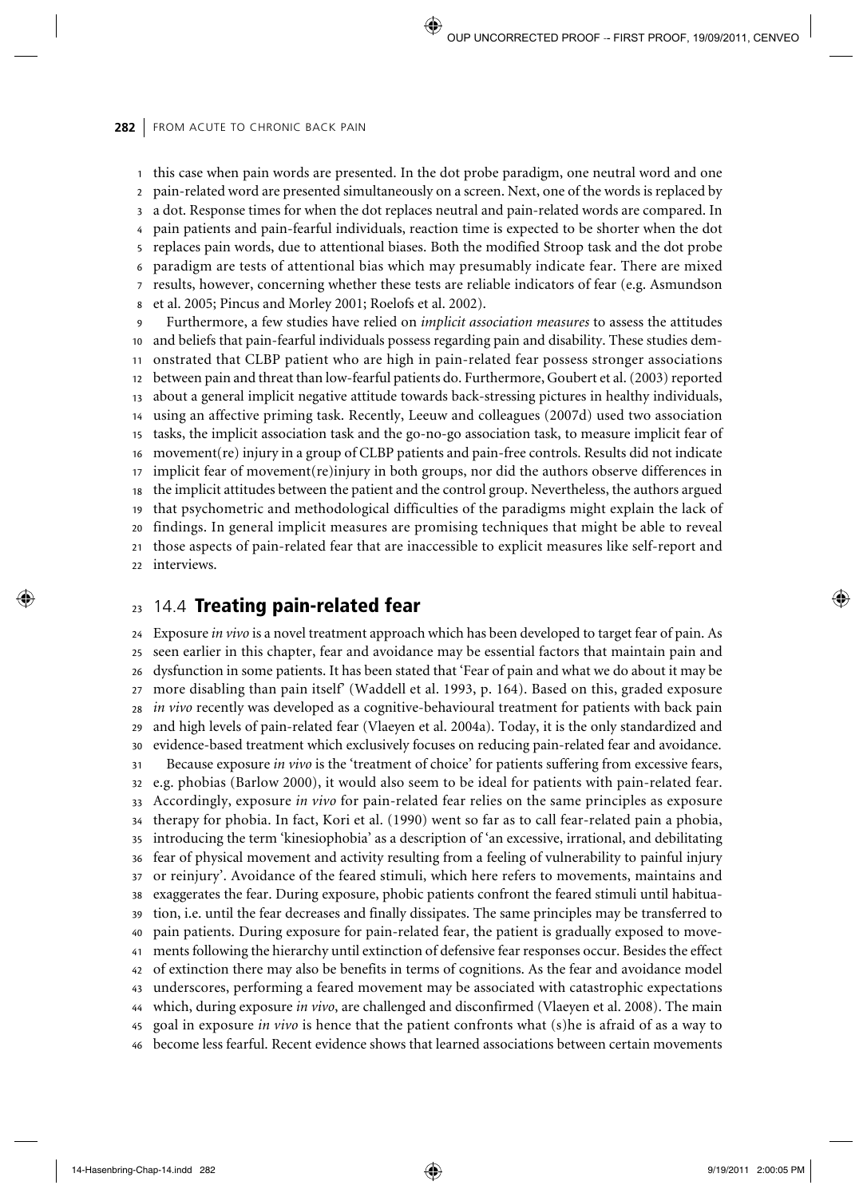8 7 6 5 4 3 2 1 this case when pain words are presented. In the dot probe paradigm, one neutral word and one pain-related word are presented simultaneously on a screen. Next, one of the words is replaced by a dot. Response times for when the dot replaces neutral and pain-related words are compared. In pain patients and pain-fearful individuals, reaction time is expected to be shorter when the dot replaces pain words, due to attentional biases. Both the modified Stroop task and the dot probe paradigm are tests of attentional bias which may presumably indicate fear. There are mixed results, however, concerning whether these tests are reliable indicators of fear (e.g. Asmundson et al. 2005; Pincus and Morley 2001; Roelofs et al. 2002).

 $\bigcirc$ 

22 21 20 19 18 17 16 15 14 13 12 11 10 9 Furthermore, a few studies have relied on *implicit association measures* to assess the attitudes and beliefs that pain-fearful individuals possess regarding pain and disability. These studies demonstrated that CLBP patient who are high in pain-related fear possess stronger associations between pain and threat than low-fearful patients do. Furthermore, Goubert et al. ( 2003 ) reported about a general implicit negative attitude towards back-stressing pictures in healthy individuals, using an affective priming task. Recently, Leeuw and colleagues (2007d) used two association tasks, the implicit association task and the go-no-go association task, to measure implicit fear of movement(re) injury in a group of CLBP patients and pain-free controls. Results did not indicate implicit fear of movement(re)injury in both groups, nor did the authors observe differences in the implicit attitudes between the patient and the control group. Nevertheless, the authors argued that psychometric and methodological difficulties of the paradigms might explain the lack of findings. In general implicit measures are promising techniques that might be able to reveal those aspects of pain-related fear that are inaccessible to explicit measures like self-report and interviews.

#### 23 14.4 **Treating pain-related fear**

46 45 44 43 42 41 40 39 38 37 36 35 34 33 32 31 30 29 28 27  $26$ 25 24 Exposure *in vivo* is a novel treatment approach which has been developed to target fear of pain. As seen earlier in this chapter, fear and avoidance may be essential factors that maintain pain and dysfunction in some patients. It has been stated that 'Fear of pain and what we do about it may be more disabling than pain itself' (Waddell et al. 1993 , p. 164). Based on this, graded exposure *in vivo* recently was developed as a cognitive-behavioural treatment for patients with back pain and high levels of pain-related fear (Vlaeyen et al. 2004a). Today, it is the only standardized and evidence-based treatment which exclusively focuses on reducing pain-related fear and avoidance. Because exposure *in vivo* is the 'treatment of choice' for patients suffering from excessive fears, e.g. phobias (Barlow 2000), it would also seem to be ideal for patients with pain-related fear. Accordingly, exposure *in vivo* for pain-related fear relies on the same principles as exposure therapy for phobia. In fact, Kori et al. ( 1990 ) went so far as to call fear-related pain a phobia, introducing the term 'kinesiophobia' as a description of 'an excessive, irrational, and debilitating fear of physical movement and activity resulting from a feeling of vulnerability to painful injury or reinjury'. Avoidance of the feared stimuli, which here refers to movements, maintains and exaggerates the fear. During exposure, phobic patients confront the feared stimuli until habituation, i.e. until the fear decreases and finally dissipates. The same principles may be transferred to pain patients. During exposure for pain-related fear, the patient is gradually exposed to movements following the hierarchy until extinction of defensive fear responses occur. Besides the effect of extinction there may also be benefits in terms of cognitions. As the fear and avoidance model underscores, performing a feared movement may be associated with catastrophic expectations which, during exposure *in vivo*, are challenged and disconfirmed (Vlaeyen et al. 2008). The main goal in exposure *in vivo* is hence that the patient confronts what (s)he is afraid of as a way to become less fearful. Recent evidence shows that learned associations between certain movements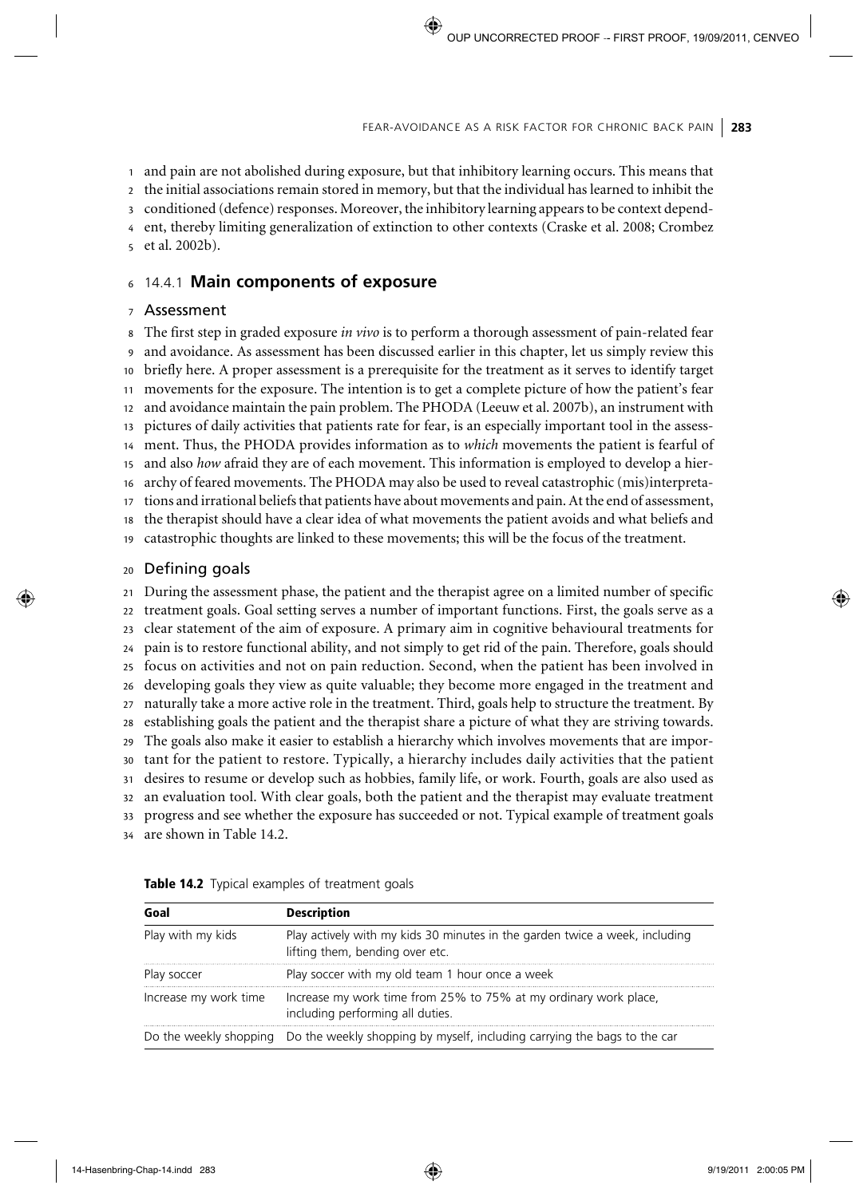5 4 3 2 1 and pain are not abolished during exposure, but that inhibitory learning occurs. This means that the initial associations remain stored in memory, but that the individual has learned to inhibit the conditioned (defence) responses. Moreover, the inhibitory learning appears to be context dependent, thereby limiting generalization of extinction to other contexts (Craske et al. 2008; Crombez et al. 2002b).

⊕

#### 6 14.4.1 **Main components of exposure**

#### 7 Assessment

19 18 17 16 15 14 13 12 11 10 9 8 The first step in graded exposure *in vivo* is to perform a thorough assessment of pain-related fear and avoidance. As assessment has been discussed earlier in this chapter, let us simply review this briefly here. A proper assessment is a prerequisite for the treatment as it serves to identify target movements for the exposure. The intention is to get a complete picture of how the patient's fear and avoidance maintain the pain problem. The PHODA (Leeuw et al. 2007b), an instrument with pictures of daily activities that patients rate for fear, is an especially important tool in the assessment. Thus, the PHODA provides information as to *which* movements the patient is fearful of and also *how* afraid they are of each movement. This information is employed to develop a hierarchy of feared movements. The PHODA may also be used to reveal catastrophic (mis)interpretations and irrational beliefs that patients have about movements and pain. At the end of assessment, the therapist should have a clear idea of what movements the patient avoids and what beliefs and catastrophic thoughts are linked to these movements; this will be the focus of the treatment.

#### 20 Defining goals

34 33 32 31 30 29 28 27 26 25 24 23  $22$ 21 During the assessment phase, the patient and the therapist agree on a limited number of specific treatment goals. Goal setting serves a number of important functions. First, the goals serve as a clear statement of the aim of exposure. A primary aim in cognitive behavioural treatments for pain is to restore functional ability, and not simply to get rid of the pain. Therefore, goals should focus on activities and not on pain reduction. Second, when the patient has been involved in developing goals they view as quite valuable; they become more engaged in the treatment and naturally take a more active role in the treatment. Third, goals help to structure the treatment. By establishing goals the patient and the therapist share a picture of what they are striving towards. The goals also make it easier to establish a hierarchy which involves movements that are important for the patient to restore. Typically, a hierarchy includes daily activities that the patient desires to resume or develop such as hobbies, family life, or work. Fourth, goals are also used as an evaluation tool. With clear goals, both the patient and the therapist may evaluate treatment progress and see whether the exposure has succeeded or not. Typical example of treatment goals are shown in Table 14.2 .

| Goal                  | <b>Description</b>                                                                                             |
|-----------------------|----------------------------------------------------------------------------------------------------------------|
| Play with my kids     | Play actively with my kids 30 minutes in the garden twice a week, including<br>lifting them, bending over etc. |
| Play soccer           | Play soccer with my old team 1 hour once a week                                                                |
| Increase my work time | Increase my work time from 25% to 75% at my ordinary work place,<br>including performing all duties.           |
|                       | Do the weekly shopping Do the weekly shopping by myself, including carrying the bags to the car                |

| Table 14.2 Typical examples of treatment goals |  |  |  |  |  |
|------------------------------------------------|--|--|--|--|--|
|------------------------------------------------|--|--|--|--|--|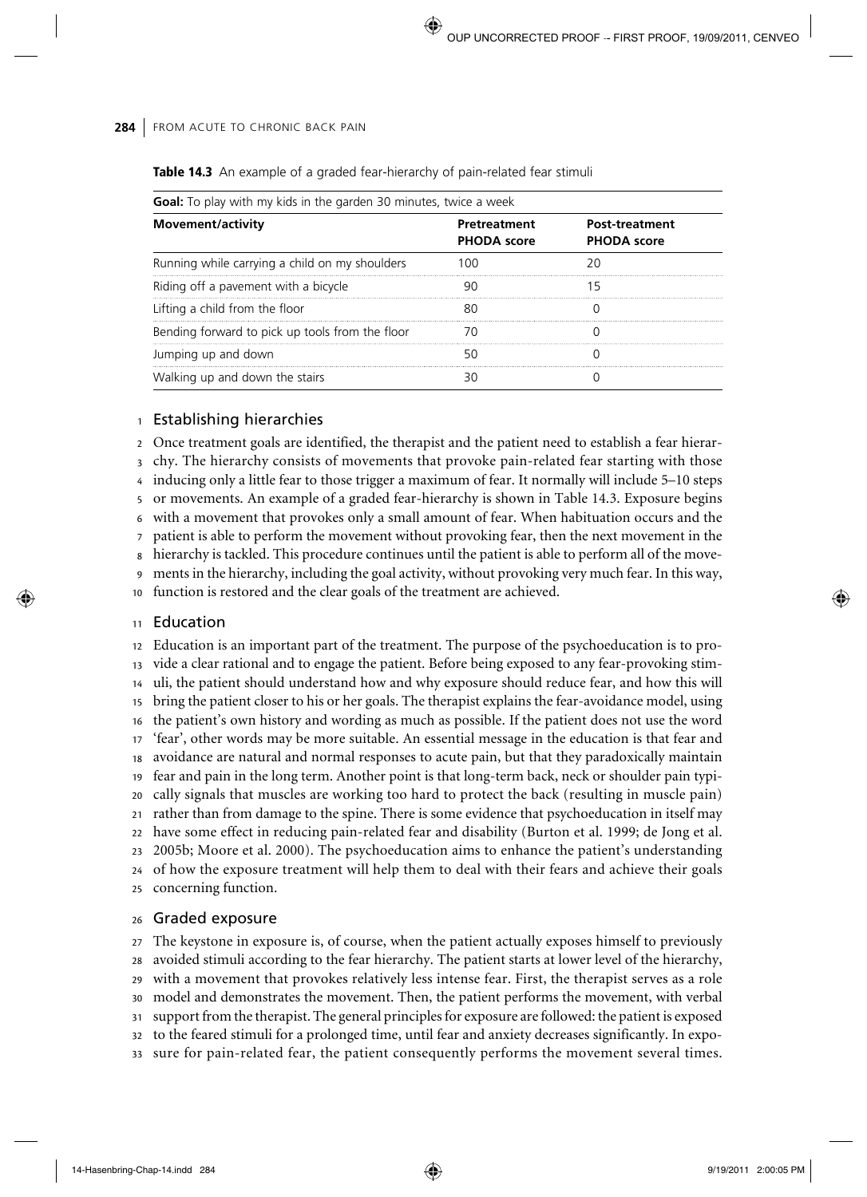**Table 14.3** An example of a graded fear-hierarchy of pain-related fear stimuli

| Movement/activity                               | Pretreatment<br><b>PHODA</b> score | <b>Post-treatment</b><br><b>PHODA</b> score |  |
|-------------------------------------------------|------------------------------------|---------------------------------------------|--|
| Running while carrying a child on my shoulders  | 1 ( ) ( )                          |                                             |  |
| Riding off a pavement with a bicycle            |                                    | 5                                           |  |
| Lifting a child from the floor                  |                                    |                                             |  |
| Bending forward to pick up tools from the floor |                                    |                                             |  |
| Jumping up and down                             |                                    |                                             |  |
| Walking up and down the stairs                  |                                    |                                             |  |

⊕

### <sup>1</sup> Establishing hierarchies

10 9 8 7 6 5 4 3 2 Once treatment goals are identified, the therapist and the patient need to establish a fear hierarchy. The hierarchy consists of movements that provoke pain-related fear starting with those inducing only a little fear to those trigger a maximum of fear. It normally will include 5–10 steps or movements. An example of a graded fear-hierarchy is shown in Table 14.3. Exposure begins with a movement that provokes only a small amount of fear. When habituation occurs and the patient is able to perform the movement without provoking fear, then the next movement in the hierarchy is tackled. This procedure continues until the patient is able to perform all of the movements in the hierarchy, including the goal activity, without provoking very much fear. In this way, function is restored and the clear goals of the treatment are achieved.

#### 11 Education

25 24 23 22 21 20 19 18 17 16 15 14 13 12 Education is an important part of the treatment. The purpose of the psychoeducation is to provide a clear rational and to engage the patient. Before being exposed to any fear-provoking stimuli, the patient should understand how and why exposure should reduce fear, and how this will bring the patient closer to his or her goals. The therapist explains the fear-avoidance model, using the patient's own history and wording as much as possible. If the patient does not use the word 'fear', other words may be more suitable. An essential message in the education is that fear and avoidance are natural and normal responses to acute pain, but that they paradoxically maintain fear and pain in the long term. Another point is that long-term back, neck or shoulder pain typically signals that muscles are working too hard to protect the back (resulting in muscle pain) rather than from damage to the spine. There is some evidence that psychoeducation in itself may have some effect in reducing pain-related fear and disability (Burton et al. 1999; de Jong et al. 2005b; Moore et al. 2000). The psychoeducation aims to enhance the patient's understanding of how the exposure treatment will help them to deal with their fears and achieve their goals concerning function.

#### 26 Graded exposure

33 32 31 30 29 28 27 The keystone in exposure is, of course, when the patient actually exposes himself to previously avoided stimuli according to the fear hierarchy. The patient starts at lower level of the hierarchy, with a movement that provokes relatively less intense fear. First, the therapist serves as a role model and demonstrates the movement. Then, the patient performs the movement, with verbal support from the therapist. The general principles for exposure are followed: the patient is exposed to the feared stimuli for a prolonged time, until fear and anxiety decreases significantly. In exposure for pain-related fear, the patient consequently performs the movement several times.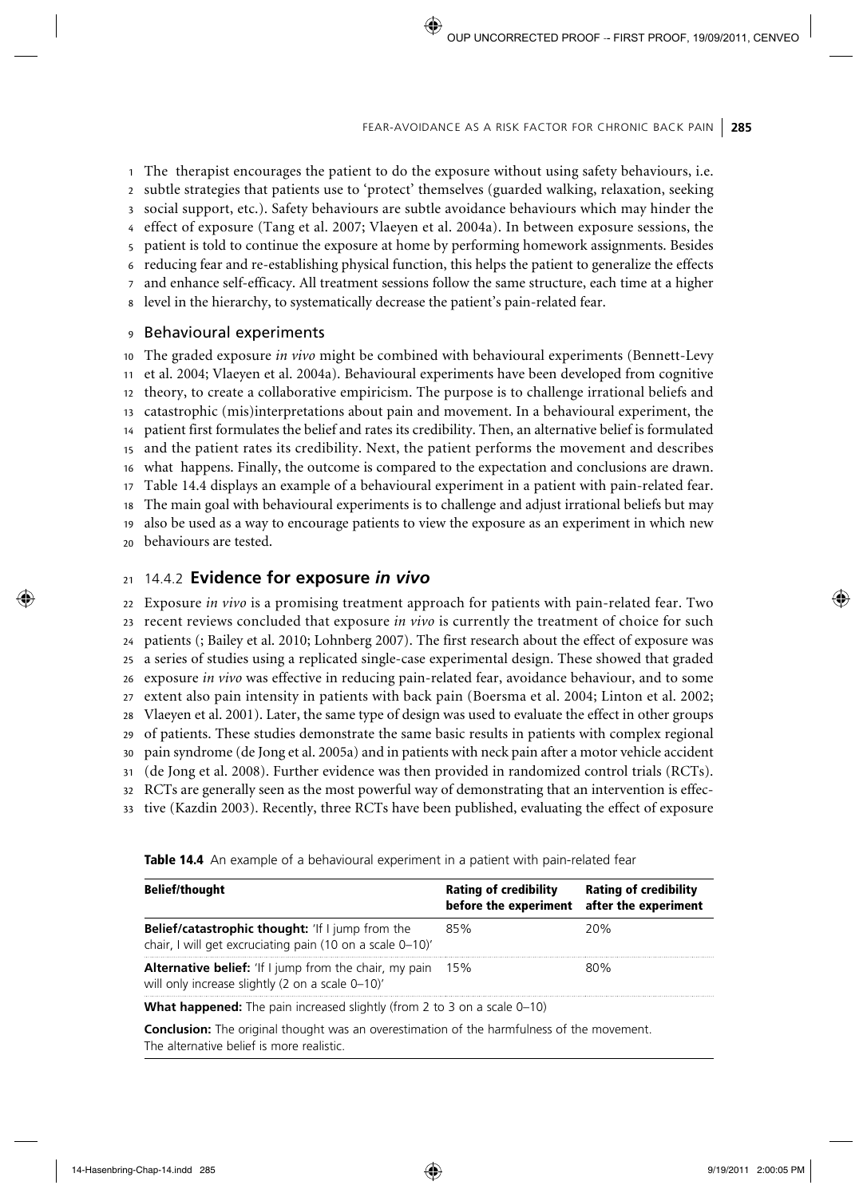8 7 6 5 4 3 2 1 The therapist encourages the patient to do the exposure without using safety behaviours, i.e. subtle strategies that patients use to 'protect' themselves (guarded walking, relaxation, seeking social support, etc.). Safety behaviours are subtle avoidance behaviours which may hinder the effect of exposure (Tang et al. 2007; Vlaeyen et al. 2004a). In between exposure sessions, the patient is told to continue the exposure at home by performing homework assignments. Besides reducing fear and re-establishing physical function, this helps the patient to generalize the effects and enhance self-efficacy. All treatment sessions follow the same structure, each time at a higher level in the hierarchy, to systematically decrease the patient's pain-related fear.

⊕

#### 9 Behavioural experiments

20 19 18 17 16 15 14 13 12 11 10 The graded exposure *in vivo* might be combined with behavioural experiments (Bennett-Levy et al. 2004 ; Vlaeyen et al. 2004a ). Behavioural experiments have been developed from cognitive theory, to create a collaborative empiricism. The purpose is to challenge irrational beliefs and catastrophic (mis)interpretations about pain and movement. In a behavioural experiment, the patient first formulates the belief and rates its credibility. Then, an alternative belief is formulated and the patient rates its credibility. Next, the patient performs the movement and describes what happens. Finally, the outcome is compared to the expectation and conclusions are drawn. Table 14.4 displays an example of a behavioural experiment in a patient with pain-related fear. The main goal with behavioural experiments is to challenge and adjust irrational beliefs but may also be used as a way to encourage patients to view the exposure as an experiment in which new behaviours are tested.

#### 21 14.4.2 **Evidence for exposure** *in vivo*

33 32 31 30  $29$  $28$ 27 26 25 24  $23$  $22$  Exposure *in vivo* is a promising treatment approach for patients with pain-related fear. Two recent reviews concluded that exposure *in vivo* is currently the treatment of choice for such patients (; Bailey et al. 2010; Lohnberg 2007). The first research about the effect of exposure was a series of studies using a replicated single-case experimental design. These showed that graded exposure *in vivo* was effective in reducing pain-related fear, avoidance behaviour, and to some extent also pain intensity in patients with back pain (Boersma et al. 2004; Linton et al. 2002; Vlaeyen et al. 2001 ). Later, the same type of design was used to evaluate the effect in other groups of patients. These studies demonstrate the same basic results in patients with complex regional pain syndrome (de Jong et al. 2005a ) and in patients with neck pain after a motor vehicle accident (de Jong et al. 2008 ). Further evidence was then provided in randomized control trials (RCTs). RCTs are generally seen as the most powerful way of demonstrating that an intervention is effective (Kazdin 2003). Recently, three RCTs have been published, evaluating the effect of exposure

| <b>Belief/thought</b>                                                                                                 | <b>Rating of credibility</b><br>before the experiment after the experiment | <b>Rating of credibility</b> |
|-----------------------------------------------------------------------------------------------------------------------|----------------------------------------------------------------------------|------------------------------|
| <b>Belief/catastrophic thought:</b> 'If I jump from the<br>chair, I will get excruciating pain (10 on a scale 0-10)'  | 85%                                                                        | ንበ%                          |
| <b>Alternative belief:</b> 'If I jump from the chair, my pain 15%<br>will only increase slightly (2 on a scale 0-10)' |                                                                            | 80%                          |
| <b>What happened:</b> The pain increased slightly (from 2 to 3 on a scale 0–10)                                       |                                                                            |                              |

**Conclusion:** The original thought was an overestimation of the harmfulness of the movement. The alternative belief is more realistic.

**Table 14.4** An example of a behavioural experiment in a patient with pain-related fear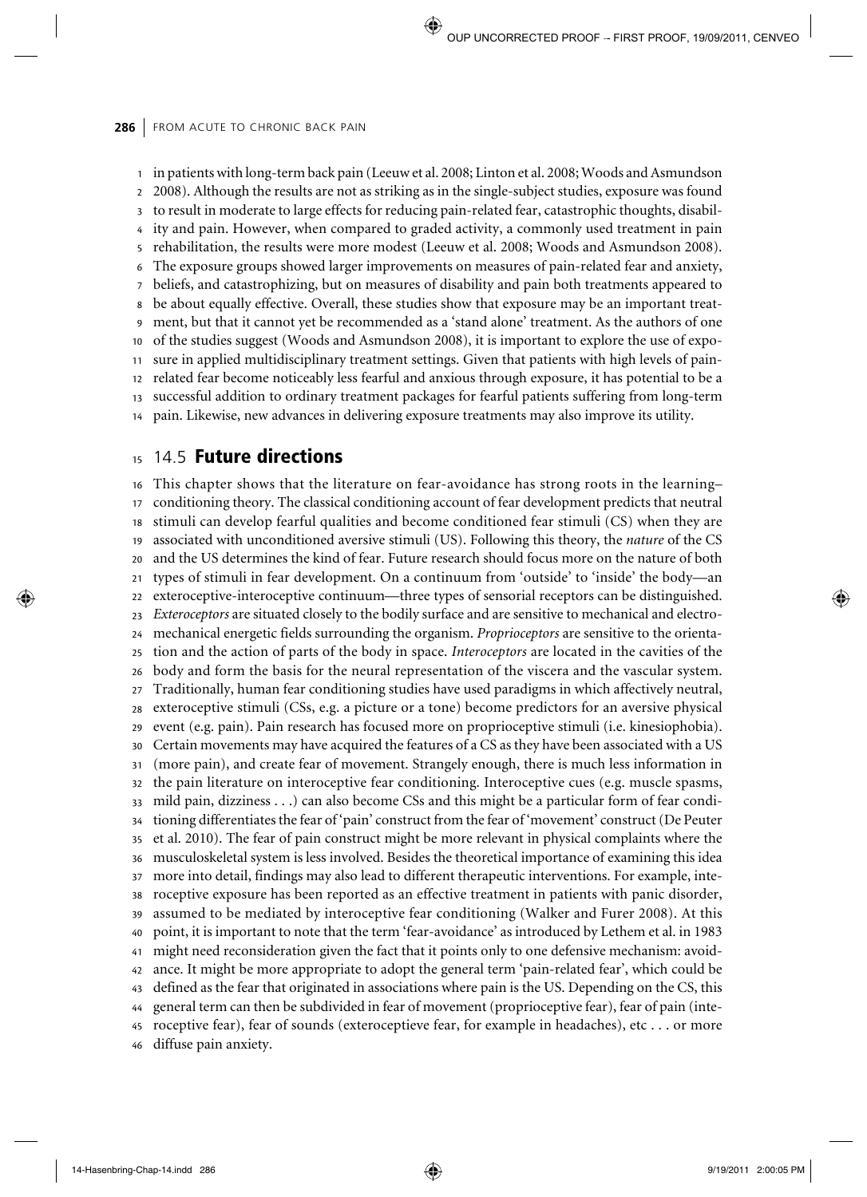14 13 12 11 10 9 8 7 6 5 4 3 2 1 in patients with long-term back pain (Leeuw et al. 2008 ; Linton et al. 2008 ; Woods and Asmundson 2008 ). Although the results are not as striking as in the single-subject studies, exposure was found to result in moderate to large effects for reducing pain-related fear, catastrophic thoughts, disability and pain. However, when compared to graded activity, a commonly used treatment in pain rehabilitation, the results were more modest (Leeuw et al. 2008; Woods and Asmundson 2008). The exposure groups showed larger improvements on measures of pain-related fear and anxiety, beliefs, and catastrophizing, but on measures of disability and pain both treatments appeared to be about equally effective. Overall, these studies show that exposure may be an important treatment, but that it cannot yet be recommended as a 'stand alone' treatment. As the authors of one of the studies suggest (Woods and Asmundson 2008 ), it is important to explore the use of exposure in applied multidisciplinary treatment settings. Given that patients with high levels of painrelated fear become noticeably less fearful and anxious through exposure, it has potential to be a successful addition to ordinary treatment packages for fearful patients suffering from long-term pain. Likewise, new advances in delivering exposure treatments may also improve its utility.

 $\bigoplus$ 

### 15 14.5 **Future directions**

46 45 44 43 42 41 40 39 38 37 36 35 34 33 32 31 30 29 28 27  $26$ 25 24  $2<sup>2</sup>$ 22 21 20 19 18 17 16 This chapter shows that the literature on fear-avoidance has strong roots in the learning– conditioning theory. The classical conditioning account of fear development predicts that neutral stimuli can develop fearful qualities and become conditioned fear stimuli (CS) when they are associated with unconditioned aversive stimuli (US). Following this theory, the *nature* of the CS and the US determines the kind of fear. Future research should focus more on the nature of both types of stimuli in fear development. On a continuum from 'outside' to 'inside' the body — an exteroceptive-interoceptive continuum — three types of sensorial receptors can be distinguished. *Exteroceptors* are situated closely to the bodily surface and are sensitive to mechanical and electromechanical energetic fields surrounding the organism. *Proprioceptors* are sensitive to the orientation and the action of parts of the body in space. *Interoceptors* are located in the cavities of the body and form the basis for the neural representation of the viscera and the vascular system. Traditionally, human fear conditioning studies have used paradigms in which affectively neutral, exteroceptive stimuli (CSs, e.g. a picture or a tone) become predictors for an aversive physical event (e.g. pain). Pain research has focused more on proprioceptive stimuli (i.e. kinesiophobia). Certain movements may have acquired the features of a CS as they have been associated with a US (more pain), and create fear of movement. Strangely enough, there is much less information in the pain literature on interoceptive fear conditioning. Interoceptive cues (e.g. muscle spasms, mild pain, dizziness . . .) can also become CSs and this might be a particular form of fear conditioning differentiates the fear of 'pain' construct from the fear of 'movement' construct (De Peuter et al. 2010). The fear of pain construct might be more relevant in physical complaints where the musculoskeletal system is less involved. Besides the theoretical importance of examining this idea more into detail, findings may also lead to different therapeutic interventions. For example, interoceptive exposure has been reported as an effective treatment in patients with panic disorder, assumed to be mediated by interoceptive fear conditioning (Walker and Furer 2008). At this point, it is important to note that the term 'fear-avoidance' as introduced by Lethem et al. in 1983 might need reconsideration given the fact that it points only to one defensive mechanism: avoidance. It might be more appropriate to adopt the general term 'pain-related fear', which could be defined as the fear that originated in associations where pain is the US. Depending on the CS, this general term can then be subdivided in fear of movement (proprioceptive fear), fear of pain (interoceptive fear), fear of sounds (exteroceptieve fear, for example in headaches), etc . . . or more diffuse pain anxiety.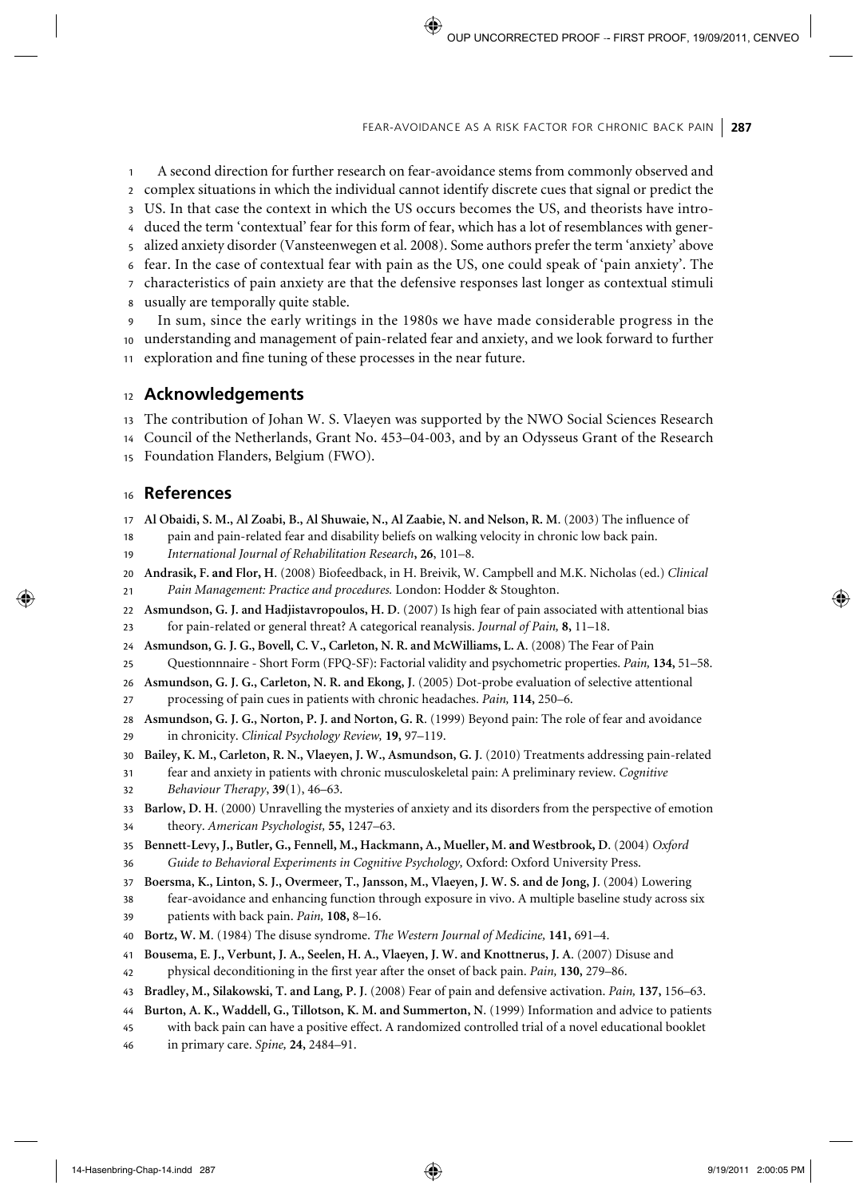8 7 6 5 4 3 2 1 A second direction for further research on fear-avoidance stems from commonly observed and complex situations in which the individual cannot identify discrete cues that signal or predict the US. In that case the context in which the US occurs becomes the US, and theorists have introduced the term 'contextual' fear for this form of fear, which has a lot of resemblances with generalized anxiety disorder (Vansteenwegen et al. 2008 ). Some authors prefer the term 'anxiety' above fear. In the case of contextual fear with pain as the US, one could speak of 'pain anxiety'. The characteristics of pain anxiety are that the defensive responses last longer as contextual stimuli usually are temporally quite stable.

⊕

11 10 9 In sum, since the early writings in the 1980s we have made considerable progress in the understanding and management of pain-related fear and anxiety, and we look forward to further exploration and fine tuning of these processes in the near future.

#### 12  **Acknowledgements**

13 The contribution of Johan W. S. Vlaeyen was supported by the NWO Social Sciences Research

14 Council of the Netherlands, Grant No. 453–04-003, and by an Odysseus Grant of the Research

15 Foundation Flanders, Belgium (FWO).

#### 16  **References**

17 **Al Obaidi, S. M., Al Zoabi, B., Al Shuwaie, N., Al Zaabie, N. and Nelson, R. M** . ( 2003 ) The influence of

19 18 pain and pain-related fear and disability beliefs on walking velocity in chronic low back pain . *International Journal of Rehabilitation Research***, 26** , 101 – 8 .

21 20 **Andrasik, F. and Flor, H** . ( 2008 ) Biofeedback , in H. Breivik, W. Campbell and M.K. Nicholas (ed.) *Clinical*  Pain Management: Practice and procedures. London: Hodder & Stoughton.

23 22 Asmundson, G. J. and Hadjistavropoulos, H. D. (2007) Is high fear of pain associated with attentional bias for pain-related or general threat? A categorical reanalysis . *Journal of Pain,* **8,** 11 – 18 .

24 **Asmundson, G. J. G., Bovell, C. V., Carleton, N. R. and McWilliams, L. A** . ( 2008 ) The Fear of Pain

 $25$ Questionnnaire - Short Form (FPQ-SF): Factorial validity and psychometric properties . *Pain,* **134,** 51 – 58 .

 $27$ 26 **Asmundson, G. J. G., Carleton, N. R. and Ekong, J** . ( 2005 ) Dot-probe evaluation of selective attentional processing of pain cues in patients with chronic headaches. Pain, 114, 250-6.

29 28 **Asmundson, G. J. G., Norton, P. J. and Norton, G. R** . ( 1999 ) Beyond pain: The role of fear and avoidance in chronicity. *Clinical Psychology Review*, 19, 97-119.

30 **Bailey, K. M., Carleton, R. N., Vlaeyen, J. W., Asmundson, G. J** . ( 2010 ) Treatments addressing pain-related

31 fear and anxiety in patients with chronic musculoskeletal pain: A preliminary review . *Cognitive* 

32 *Behaviour Therapy*, 39(1), 46-63.

34 33 **Barlow, D. H** . ( 2000 ) Unravelling the mysteries of anxiety and its disorders from the perspective of emotion theory. American Psychologist, 55, 1247-63.

36 35 Bennett-Levy, J., Butler, G., Fennell, M., Hackmann, A., Mueller, M. and Westbrook, D. (2004) Oxford Guide to Behavioral Experiments in Cognitive Psychology, Oxford: Oxford University Press.

37 **Boersma, K., Linton, S. J., Overmeer, T., Jansson, M., Vlaeyen, J. W. S. and de Jong, J** . ( 2004 ) Lowering

39 38 fear-avoidance and enhancing function through exposure in vivo. A multiple baseline study across six patients with back pain. *Pain*, **108**, 8-16.

40 Bortz, W. M. (1984) The disuse syndrome. The Western Journal of Medicine, 141, 691-4.

42 41 **Bousema, E. J., Verbunt, J. A., Seelen, H. A., Vlaeyen, J. W. and Knottnerus, J. A** . ( 2007 ) Disuse and physical deconditioning in the first year after the onset of back pain . *Pain,* **130,** 279 – 86 .

43 **Bradley, M., Silakowski, T. and Lang, P. J** . ( 2008 ) Fear of pain and defensive activation . *Pain,* **137,** 156 – 63 .

44 **Burton, A. K., Waddell, G., Tillotson, K. M. and Summerton, N** . ( 1999 ) Information and advice to patients

45 with back pain can have a positive effect. A randomized controlled trial of a novel educational booklet

46 in primary care . *Spine,* **24,** 2484 – 91 .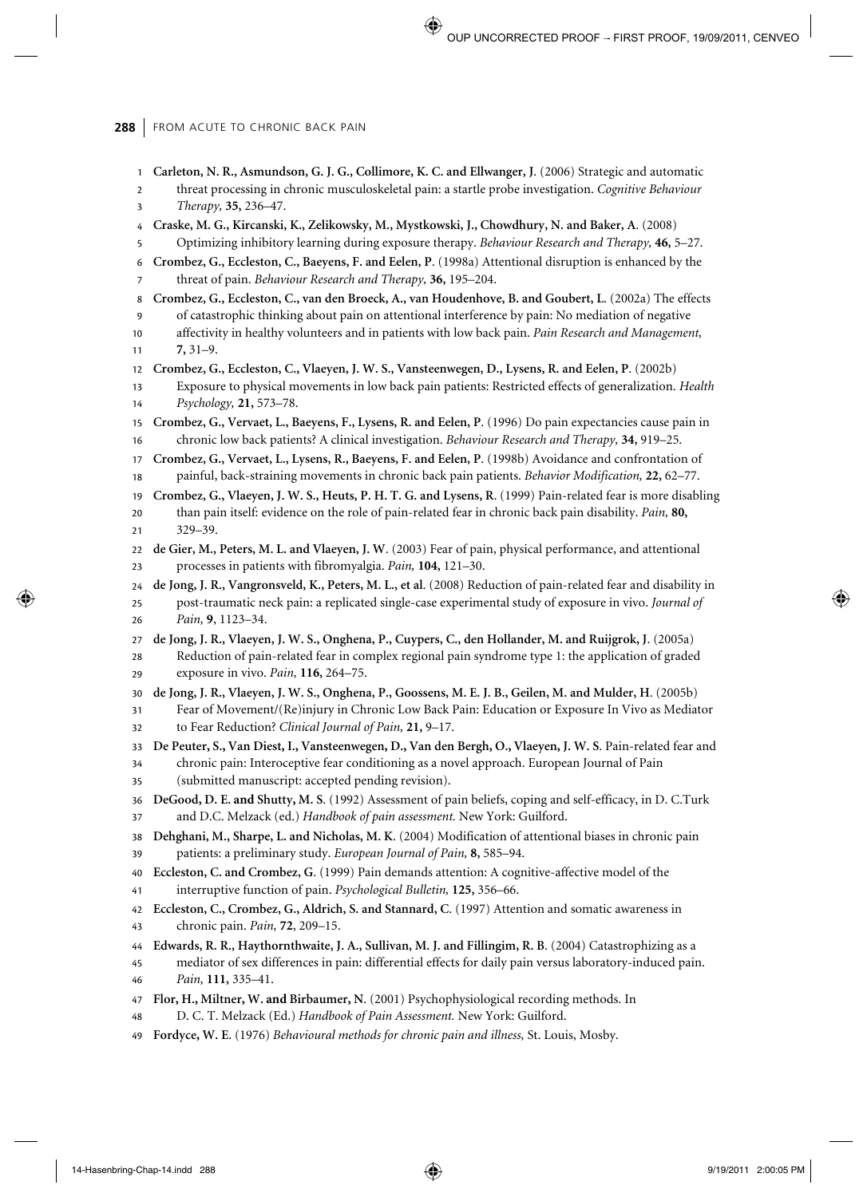3 2 1 **Carleton, N. R., Asmundson, G. J. G., Collimore, K. C. and Ellwanger, J** . ( 2006 ) Strategic and automatic threat processing in chronic musculoskeletal pain: a startle probe investigation . *Cognitive Behaviour Therapy,* **35,** 236 – 47 .

 $\bigoplus$ 

- 5 4 **Craske, M. G., Kircanski, K., Zelikowsky, M., Mystkowski, J., Chowdhury, N. and Baker, A** . ( 2008 ) Optimizing inhibitory learning during exposure therapy . *Behaviour Research and Therapy,* **46,** 5 – 27 .
- 7 6 **Crombez, G., Eccleston, C., Baeyens, F. and Eelen, P** . ( 1998a ) Attentional disruption is enhanced by the threat of pain . *Behaviour Research and Therapy,* **36,** 195 – 204 .
- $\epsilon$ 8 **Crombez, G., Eccleston, C., van den Broeck, A., van Houdenhove, B. and Goubert, L** . ( 2002a ) The effects of catastrophic thinking about pain on attentional interference by pain: No mediation of negative
- 11 10 affectivity in healthy volunteers and in patients with low back pain . *Pain Research and Management,* **7,** 31 – 9 .
- 12 **Crombez, G., Eccleston, C., Vlaeyen, J. W. S., Vansteenwegen, D., Lysens, R. and Eelen, P** . ( 2002b )
- 14 13 Exposure to physical movements in low back pain patients: Restricted effects of generalization . *Health Psychology,* **21,** 573 – 78 .
- 16 15 **Crombez, G., Vervaet, L., Baeyens, F., Lysens, R. and Eelen, P** . ( 1996 ) Do pain expectancies cause pain in chronic low back patients? A clinical investigation . *Behaviour Research and Therapy,* **34,** 919 – 25 .
- 18 17 **Crombez, G., Vervaet, L., Lysens, R., Baeyens, F. and Eelen, P** . ( 1998b ) Avoidance and confrontation of painful, back-straining movements in chronic back pain patients . *Behavior Modification,* **22,** 62 – 77 .
- 21 20 19 **Crombez, G., Vlaeyen, J. W. S., Heuts, P. H. T. G. and Lysens, R** . ( 1999 ) Pain-related fear is more disabling than pain itself: evidence on the role of pain-related fear in chronic back pain disability . *Pain,* **80,** 329 – 39
- 23 22 **de Gier, M., Peters, M. L. and Vlaeyen, J. W** . ( 2003 ) Fear of pain, physical performance, and attentional processes in patients with fibromyalgia. Pain, 104, 121-30.
- 26 25 24 **de Jong, J. R., Vangronsveld, K., Peters, M. L., et al** . ( 2008 ) Reduction of pain-related fear and disability in post-traumatic neck pain: a replicated single-case experimental study of exposure in vivo . *Journal of*  Pain, 9, 1123-34.
- 29 28 27 **de Jong, J. R., Vlaeyen, J. W. S., Onghena, P., Cuypers, C., den Hollander, M. and Ruijgrok, J** . ( 2005a ) Reduction of pain-related fear in complex regional pain syndrome type 1: the application of graded exposure in vivo . *Pain,* **116,** 264 – 75 .
- 30 **de Jong, J. R., Vlaeyen, J. W. S., Onghena, P., Goossens, M. E. J. B., Geilen, M. and Mulder, H** . ( 2005b )
- 32 31 Fear of Movement/(Re)injury in Chronic Low Back Pain: Education or Exposure In Vivo as Mediator to Fear Reduction? *Clinical Journal of Pain,* **21,** 9 – 17 .
- 35 34 33 De Peuter, S., Van Diest, I., Vansteenwegen, D., Van den Bergh, O., Vlaeyen, J. W. S. Pain-related fear and chronic pain: Interoceptive fear conditioning as a novel approach . European Journal of Pain ( submitted manuscript: accepted pending revision ).
- 37 36 **DeGood, D. E. and Shutty, M. S** . ( 1992 ) Assessment of pain beliefs, coping and self-efficacy , in D. C.Turk and D.C. Melzack (ed.) *Handbook of pain assessment*. New York: Guilford.
- 39 38 **Dehghani, M., Sharpe, L. and Nicholas, M. K** . ( 2004 ) Modification of attentional biases in chronic pain patients: a preliminary study. *European Journal of Pain*, 8, 585-94.
- 41 40 **Eccleston, C. and Crombez, G** . ( 1999 ) Pain demands attention: A cognitive-affective model of the interruptive function of pain . *Psychological Bulletin,* **125,** 356 – 66 .
- 43 42 **Eccleston, C., Crombez, G., Aldrich, S. and Stannard, C** . ( 1997 ) Attention and somatic awareness in chronic pain . *Pain,* **72** , 209 – 15 .

45 44 **Edwards, R. R., Haythornthwaite, J. A., Sullivan, M. J. and Fillingim, R. B** . ( 2004 ) Catastrophizing as a mediator of sex differences in pain: differential effects for daily pain versus laboratory-induced pain .

- 46 *Pain,* **111,** 335 – 41 .
- 48 47 **Flor, H., Miltner, W. and Birbaumer, N** . ( 2001 ) Psychophysiological recording methods . In D. C. T. Melzack (Ed.) *Handbook of Pain Assessment*. New York: Guilford.
- 49 **Fordyce, W. E** . ( 1976 ) *Behavioural methods for chronic pain and illness,* St. Louis , Mosby .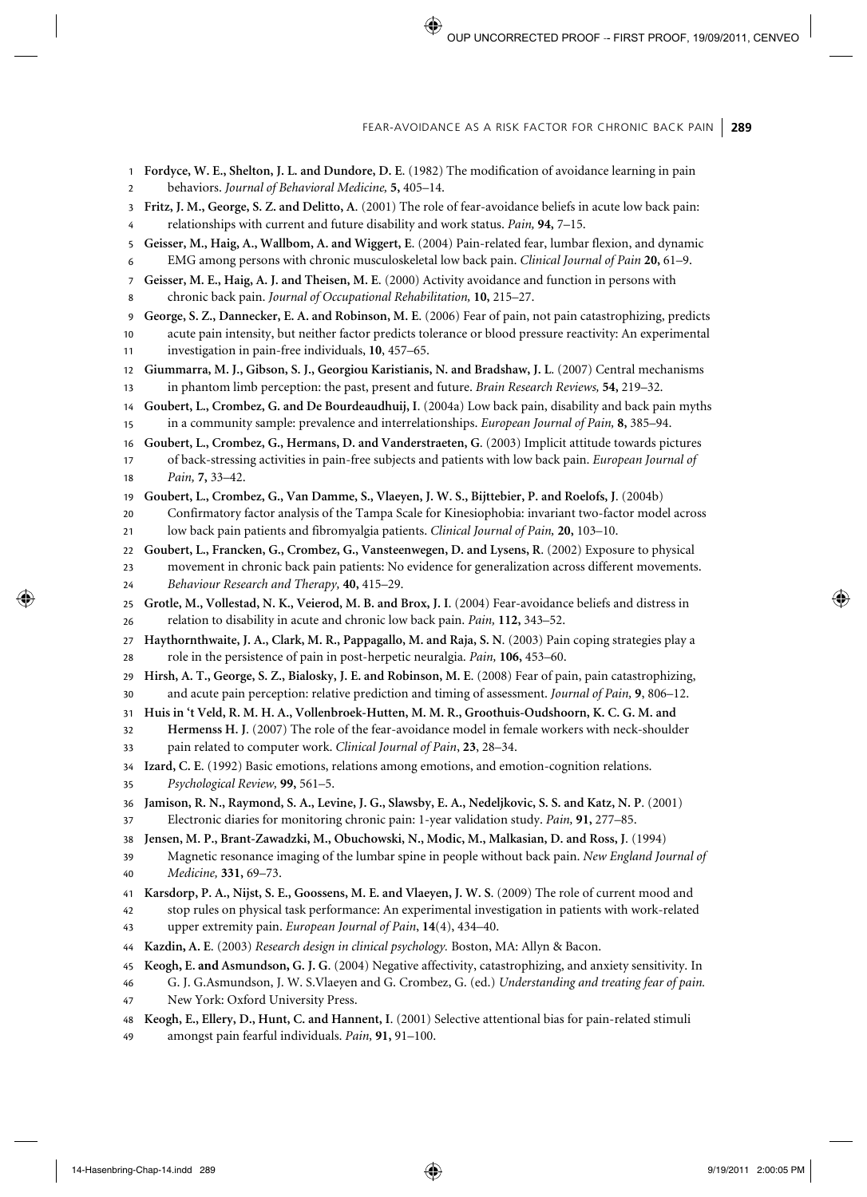| $\mathbf{1}$<br>$\overline{2}$ | Fordyce, W. E., Shelton, J. L. and Dundore, D. E. (1982) The modification of avoidance learning in pain<br>behaviors. Journal of Behavioral Medicine, 5, 405-14.                                             |
|--------------------------------|--------------------------------------------------------------------------------------------------------------------------------------------------------------------------------------------------------------|
|                                | Fritz, J. M., George, S. Z. and Delitto, A. (2001) The role of fear-avoidance beliefs in acute low back pain:                                                                                                |
| 3<br>4                         | relationships with current and future disability and work status. Pain, 94, 7-15.                                                                                                                            |
| 5<br>6                         | Geisser, M., Haig, A., Wallbom, A. and Wiggert, E. (2004) Pain-related fear, lumbar flexion, and dynamic<br>EMG among persons with chronic musculoskeletal low back pain. Clinical Journal of Pain 20, 61-9. |
| 7                              | Geisser, M. E., Haig, A. J. and Theisen, M. E. (2000) Activity avoidance and function in persons with                                                                                                        |
| 8                              | chronic back pain. Journal of Occupational Rehabilitation, 10, 215-27.                                                                                                                                       |
| 9                              | George, S. Z., Dannecker, E. A. and Robinson, M. E. (2006) Fear of pain, not pain catastrophizing, predicts                                                                                                  |
| 10<br>11                       | acute pain intensity, but neither factor predicts tolerance or blood pressure reactivity: An experimental<br>investigation in pain-free individuals, 10, 457-65.                                             |
| 12                             | Giummarra, M. J., Gibson, S. J., Georgiou Karistianis, N. and Bradshaw, J. L. (2007) Central mechanisms                                                                                                      |
| 13                             | in phantom limb perception: the past, present and future. Brain Research Reviews, 54, 219-32.                                                                                                                |
| 14<br>15                       | Goubert, L., Crombez, G. and De Bourdeaudhuij, I. (2004a) Low back pain, disability and back pain myths<br>in a community sample: prevalence and interrelationships. European Journal of Pain, 8, 385-94.    |
| 16                             | Goubert, L., Crombez, G., Hermans, D. and Vanderstraeten, G. (2003) Implicit attitude towards pictures                                                                                                       |
| 17                             | of back-stressing activities in pain-free subjects and patients with low back pain. European Journal of                                                                                                      |
| 18                             | Pain, 7, 33-42.                                                                                                                                                                                              |
| 19                             | Goubert, L., Crombez, G., Van Damme, S., Vlaeyen, J. W. S., Bijttebier, P. and Roelofs, J. (2004b)                                                                                                           |
| 20<br>21                       | Confirmatory factor analysis of the Tampa Scale for Kinesiophobia: invariant two-factor model across<br>low back pain patients and fibromyalgia patients. Clinical Journal of Pain, 20, 103-10.              |
| 22                             | Goubert, L., Francken, G., Crombez, G., Vansteenwegen, D. and Lysens, R. (2002) Exposure to physical                                                                                                         |
| 23                             | movement in chronic back pain patients: No evidence for generalization across different movements.                                                                                                           |
| 24                             | Behaviour Research and Therapy, 40, 415-29.                                                                                                                                                                  |
| 25<br>26                       | Grotle, M., Vollestad, N. K., Veierod, M. B. and Brox, J. I. (2004) Fear-avoidance beliefs and distress in<br>relation to disability in acute and chronic low back pain. Pain, 112, 343-52.                  |
| 27<br>28                       | Haythornthwaite, J. A., Clark, M. R., Pappagallo, M. and Raja, S. N. (2003) Pain coping strategies play a<br>role in the persistence of pain in post-herpetic neuralgia. Pain, 106, 453-60.                  |
| 29                             | Hirsh, A. T., George, S. Z., Bialosky, J. E. and Robinson, M. E. (2008) Fear of pain, pain catastrophizing,                                                                                                  |
| 30                             | and acute pain perception: relative prediction and timing of assessment. Journal of Pain, 9, 806-12.                                                                                                         |
| 31                             | Huis in 't Veld, R. M. H. A., Vollenbroek-Hutten, M. M. R., Groothuis-Oudshoorn, K. C. G. M. and                                                                                                             |
| 32                             | Hermenss H. J. (2007) The role of the fear-avoidance model in female workers with neck-shoulder                                                                                                              |
| 33                             | pain related to computer work. Clinical Journal of Pain, 23, 28-34.                                                                                                                                          |
| 34                             | Izard, C. E. (1992) Basic emotions, relations among emotions, and emotion-cognition relations.                                                                                                               |
| 35                             | Psychological Review, 99, 561-5.                                                                                                                                                                             |
| 36                             | Jamison, R. N., Raymond, S. A., Levine, J. G., Slawsby, E. A., Nedeljkovic, S. S. and Katz, N. P. (2001)                                                                                                     |
| 37                             | Electronic diaries for monitoring chronic pain: 1-year validation study. Pain, 91, 277-85.                                                                                                                   |
| 38                             | Jensen, M. P., Brant-Zawadzki, M., Obuchowski, N., Modic, M., Malkasian, D. and Ross, J. (1994)                                                                                                              |
| 39<br>40                       | Magnetic resonance imaging of the lumbar spine in people without back pain. New England Journal of<br>Medicine, 331, 69-73.                                                                                  |
| 41                             | Karsdorp, P. A., Nijst, S. E., Goossens, M. E. and Vlaeyen, J. W. S. (2009) The role of current mood and                                                                                                     |
| 42                             | stop rules on physical task performance: An experimental investigation in patients with work-related                                                                                                         |
| 43                             | upper extremity pain. European Journal of Pain, 14(4), 434-40.                                                                                                                                               |
| 44                             | Kazdin, A. E. (2003) Research design in clinical psychology. Boston, MA: Allyn & Bacon.                                                                                                                      |
| 45                             | Keogh, E. and Asmundson, G. J. G. (2004) Negative affectivity, catastrophizing, and anxiety sensitivity. In                                                                                                  |
| 46                             | G. J. G.Asmundson, J. W. S.Vlaeyen and G. Crombez, G. (ed.) Understanding and treating fear of pain.                                                                                                         |
| 47                             | New York: Oxford University Press.                                                                                                                                                                           |
| 48                             | Keogh, E., Ellery, D., Hunt, C. and Hannent, I. (2001) Selective attentional bias for pain-related stimuli                                                                                                   |
| 49                             | amongst pain fearful individuals. Pain, 91, 91-100.                                                                                                                                                          |
|                                |                                                                                                                                                                                                              |

⊕

 $\bigoplus$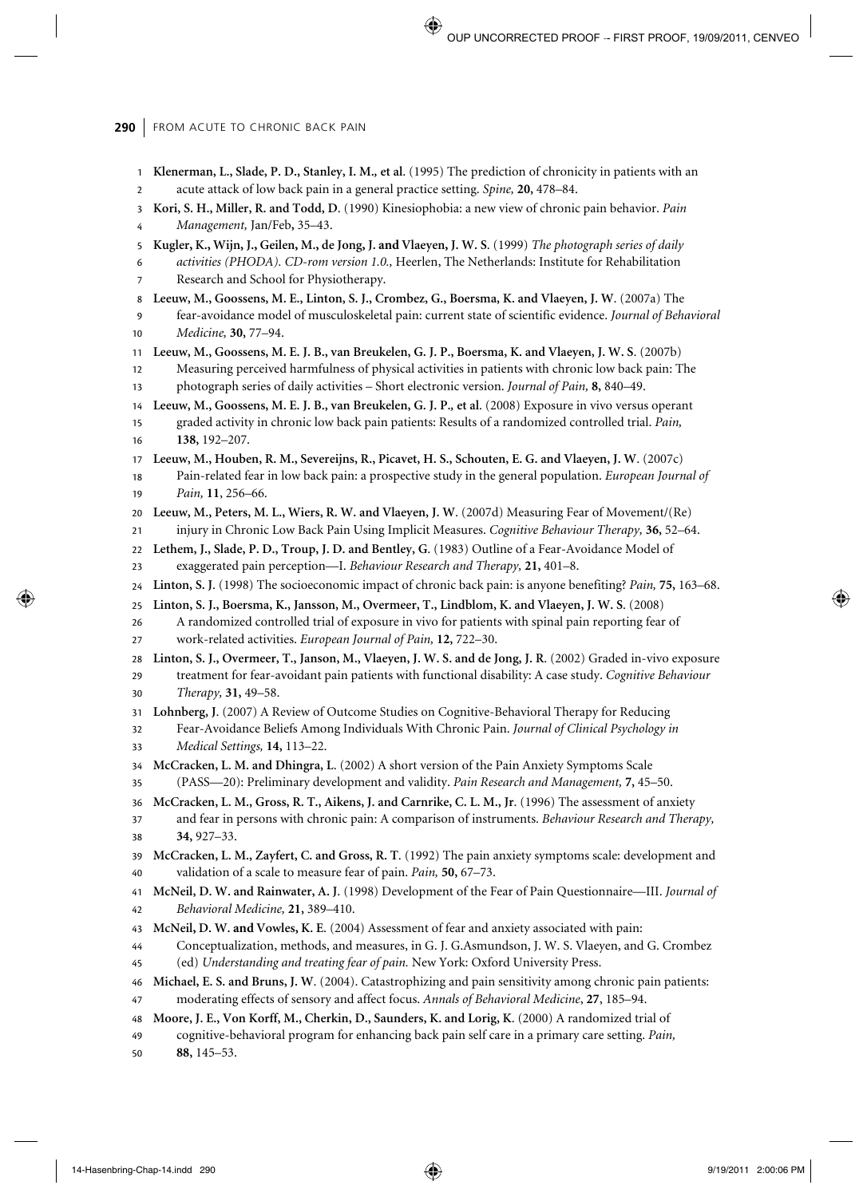2 1 **Klenerman, L., Slade, P. D., Stanley, I. M.***,* **et al** . ( 1995 ) The prediction of chronicity in patients with an acute attack of low back pain in a general practice setting . *Spine,* **20,** 478 – 84 .

 $\bigoplus$ 

- 4 3 **Kori, S. H., Miller, R. and Todd, D** . ( 1990 ) Kinesiophobia: a new view of chronic pain behavior . *Pain Management*, Jan/Feb, 35-43.
- 5 Kugler, K., Wijn, J., Geilen, M., de Jong, J. and Vlaeyen, J. W. S. (1999) The photograph series of daily
- 7 6 *activities (PHODA). CD-rom version 1.0.*, Heerlen, The Netherlands: Institute for Rehabilitation Research and School for Physiotherapy .
- 8 **Leeuw, M., Goossens, M. E., Linton, S. J., Crombez, G., Boersma, K. and Vlaeyen, J. W** . ( 2007a ) The
- 10  $\epsilon$ fear-avoidance model of musculoskeletal pain: current state of scientific evidence . *Journal of Behavioral Medicine,* **30,** 77 – 94 .
- 11 **Leeuw, M., Goossens, M. E. J. B., van Breukelen, G. J. P., Boersma, K. and Vlaeyen, J. W. S** . ( 2007b )
- 13 12 Measuring perceived harmfulness of physical activities in patients with chronic low back pain: The photograph series of daily activities – Short electronic version . *Journal of Pain,* **8,** 840 – 49 .
- 14 **Leeuw, M., Goossens, M. E. J. B., van Breukelen, G. J. P.***,* **et al** . ( 2008 ) Exposure in vivo versus operant
- 16 15 graded activity in chronic low back pain patients: Results of a randomized controlled trial . *Pain,* 138, 192-207.
- 17 **Leeuw, M., Houben, R. M., Severeijns, R., Picavet, H. S., Schouten, E. G. and Vlaeyen, J. W** . ( 2007c )
- 19 18 Pain-related fear in low back pain: a prospective study in the general population . *European Journal of*  Pain, 11, 256-66.
- 20 Leeuw, M., Peters, M. L., Wiers, R. W. and Vlaeyen, J. W. (2007d) Measuring Fear of Movement/(Re)
- 21 injury in Chronic Low Back Pain Using Implicit Measures . *Cognitive Behaviour Therapy,* **36,** 52 – 64 .
- 23 22 **Lethem, J., Slade, P. D., Troup, J. D. and Bentley, G** . ( 1983 ) Outline of a Fear-Avoidance Model of exaggerated pain perception—I. *Behaviour Research and Therapy*, 21, 401–8.
- 24 **Linton, S. J** . ( 1998 ) The socioeconomic impact of chronic back pain: is anyone benefiting? *Pain,* **75,** 163 – 68 .
- 27 26 25 **Linton, S. J., Boersma, K., Jansson, M., Overmeer, T., Lindblom, K. and Vlaeyen, J. W. S** . ( 2008 ) A randomized controlled trial of exposure in vivo for patients with spinal pain reporting fear of work-related activities . *European Journal of Pain,* **12,** 722 – 30 .
- 30 29 28 **Linton, S. J., Overmeer, T., Janson, M., Vlaeyen, J. W. S. and de Jong, J. R** . ( 2002 ) Graded in-vivo exposure treatment for fear-avoidant pain patients with functional disability: A case study . *Cognitive Behaviour Therapy,* **31,** 49 – 58 .
- 31 **Lohnberg, J** . ( 2007 ) A Review of Outcome Studies on Cognitive-Behavioral Therapy for Reducing
- 33 32 Fear-Avoidance Beliefs Among Individuals With Chronic Pain . *Journal of Clinical Psychology in Medical Settings,* **14,** 113 – 22 .
- 34 **McCracken, L. M. and Dhingra, L** . ( 2002 ) A short version of the Pain Anxiety Symptoms Scale
- 35 (PASS — 20): Preliminary development and validity . *Pain Research and Management,* **7,** 45 – 50 .
- 36 **McCracken, L. M., Gross, R. T., Aikens, J. and Carnrike, C. L. M., Jr** . ( 1996 ) The assessment of anxiety
- 38 37 and fear in persons with chronic pain: A comparison of instruments . *Behaviour Research and Therapy,* **34,** 927 – 33 .
- 40 39 **McCracken, L. M., Zayfert, C. and Gross, R. T** . ( 1992 ) The pain anxiety symptoms scale: development and validation of a scale to measure fear of pain. *Pain*, **50**, 67–73.
- 42 41 **McNeil, D. W. and Rainwater, A. J** . ( 1998 ) Development of the Fear of Pain Questionnaire — III . *Journal of Behavioral Medicine,* **21,** 389 – 410 .
- 43 **McNeil, D. W. and Vowles, K. E** . ( 2004 ) Assessment of fear and anxiety associated with pain:
- 44 Conceptualization, methods, and measures , in G. J. G.Asmundson, J. W. S. Vlaeyen, and G. Crombez
- 45 (ed) *Understanding and treating fear of pain*. New York: Oxford University Press.
- 47 46 **Michael, E. S. and Bruns, J. W** . ( 2004 ). Catastrophizing and pain sensitivity among chronic pain patients: moderating effects of sensory and affect focus . *Annals of Behavioral Medicine* , **27** , 185 – 94 .
- 48 **Moore, J. E., Von Korff, M., Cherkin, D., Saunders, K. and Lorig, K** . ( 2000 ) A randomized trial of
- 50 49 cognitive-behavioral program for enhancing back pain self care in a primary care setting . *Pain,* **88,** 145 – 53 .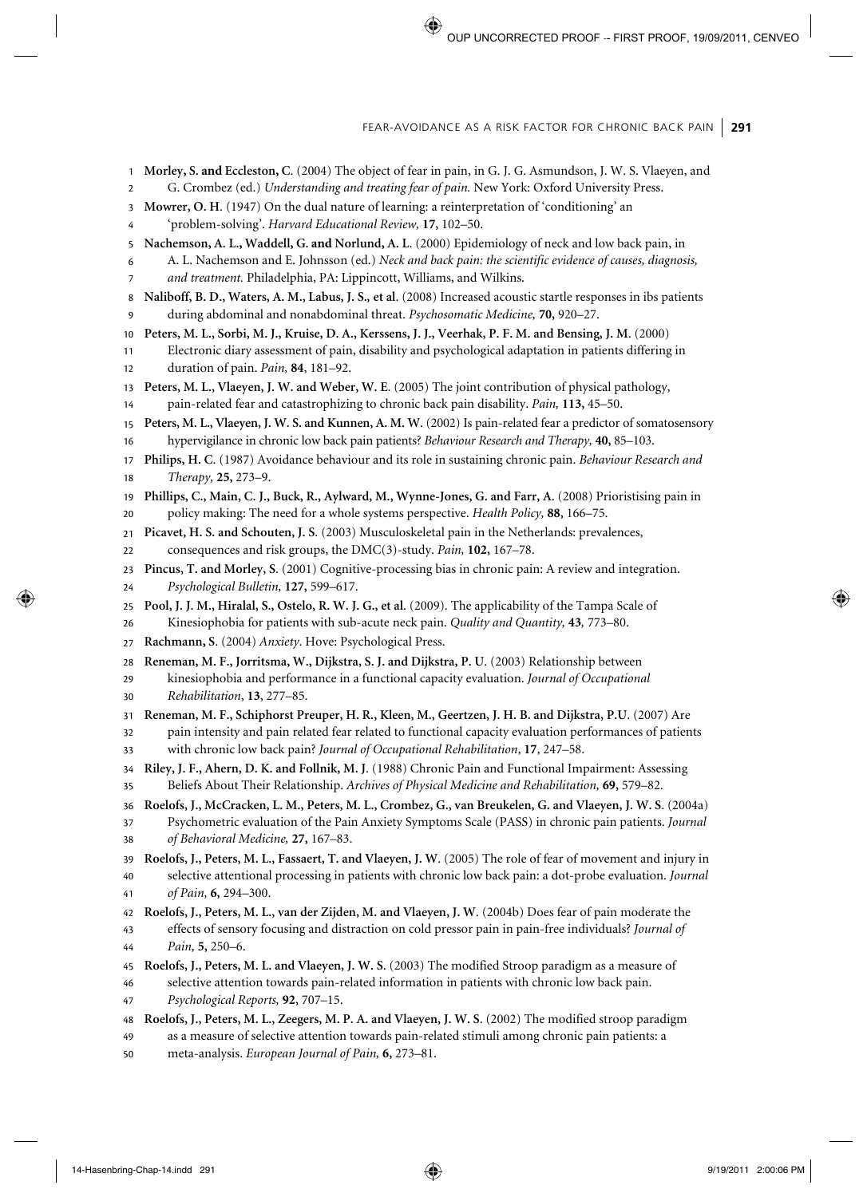2 1 **Morley, S. and Eccleston, C** . ( 2004 ) The object of fear in pain , in G. J. G. Asmundson, J. W. S. Vlaeyen, and G. Crombez (ed.) *Understanding and treating fear of pain*. New York: Oxford University Press.

 $\bigoplus$ 

- 4 3 **Mowrer, O. H** . ( 1947 ) On the dual nature of learning: a reinterpretation of 'conditioning' an 'problem-solving'. *Harvard Educational Review*, 17, 102-50.
- 5 **Nachemson, A. L., Waddell, G. and Norlund, A. L** . ( 2000 ) Epidemiology of neck and low back pain , in
- 7 6 A. L. Nachemson and E. Johnsson (ed.) *Neck and back pain: the scientific evidence of causes, diagnosis,*  and treatment. Philadelphia, PA: Lippincott, Williams, and Wilkins.
- 9 8 **Naliboff, B. D., Waters, A. M., Labus, J. S.***,* **et al** . ( 2008 ) Increased acoustic startle responses in ibs patients during abdominal and nonabdominal threat . *Psychosomatic Medicine,* **70,** 920 – 27 .
- 10 **Peters, M. L., Sorbi, M. J., Kruise, D. A., Kerssens, J. J., Veerhak, P. F. M. and Bensing, J. M** . ( 2000 )
- 12 11 Electronic diary assessment of pain, disability and psychological adaptation in patients differing in duration of pain. Pain, 84, 181-92.
- 13 Peters, M. L., Vlaeyen, J. W. and Weber, W. E. (2005) The joint contribution of physical pathology,
- 14 pain-related fear and catastrophizing to chronic back pain disability . *Pain,* **113,** 45 – 50 .

16 15 Peters, M. L., Vlaeyen, J. W. S. and Kunnen, A. M. W. (2002) Is pain-related fear a predictor of somatosensory hypervigilance in chronic low back pain patients? *Behaviour Research and Therapy,* **40,** 85 – 103 .

- 18 17 **Philips, H. C** . ( 1987 ) Avoidance behaviour and its role in sustaining chronic pain . *Behaviour Research and Therapy,* **25,** 273 – 9 .
- 20 19 **Phillips, C., Main, C. J., Buck, R., Aylward, M., Wynne-Jones, G. and Farr, A** . ( 2008 ) Prioristising pain in policy making: The need for a whole systems perspective. *Health Policy*, 88, 166-75.
- $21$ Picavet, H. S. and Schouten, J. S. (2003) Musculoskeletal pain in the Netherlands: prevalences,
- 22 consequences and risk groups, the DMC(3)-study. Pain, 102, 167-78.
- $24$ 23 Pincus, T. and Morley, S. (2001) Cognitive-processing bias in chronic pain: A review and integration. *Psychological Bulletin,* **127,** 599 – 617 .
- 26 25 **Pool, J. J. M., Hiralal, S., Ostelo, R. W. J. G., et al** . ( 2009 ). The applicability of the Tampa Scale of Kinesiophobia for patients with sub-acute neck pain . *Quality and Quantity,* **43***,* 773 – 80 .
- 27 **Rachmann, S** . ( 2004 ) *Anxiety* . Hove : Psychological Press .
- 28 **Reneman, M. F., Jorritsma, W., Dijkstra, S. J. and Dijkstra, P. U** . ( 2003 ) Relationship between
- 30 29 kinesiophobia and performance in a functional capacity evaluation . *Journal of Occupational Rehabilitation* , **13** , 277 – 85 .
- 31 **Reneman, M. F., Schiphorst Preuper, H. R., Kleen, M., Geertzen, J. H. B. and Dijkstra, P.U** . ( 2007 ) Are
- 33 32 pain intensity and pain related fear related to functional capacity evaluation performances of patients with chronic low back pain? *Journal of Occupational Rehabilitation*, 17, 247-58.
- 34 **Riley, J. F., Ahern, D. K. and Follnik, M. J** . ( 1988 ) Chronic Pain and Functional Impairment: Assessing
- 35 Beliefs About Their Relationship. *Archives of Physical Medicine and Rehabilitation*, **69**, 579–82.
- 38 37 36 **Roelofs, J., McCracken, L. M., Peters, M. L., Crombez, G., van Breukelen, G. and Vlaeyen, J. W. S** . ( 2004a ) Psychometric evaluation of the Pain Anxiety Symptoms Scale (PASS) in chronic pain patients . *Journal of Behavioral Medicine,* **27,** 167 – 83 .
- 41 40 39 **Roelofs, J., Peters, M. L., Fassaert, T. and Vlaeyen, J. W** . ( 2005 ) The role of fear of movement and injury in selective attentional processing in patients with chronic low back pain: a dot-probe evaluation . *Journal of Pain,* **6,** 294 – 300 .

43 42 **Roelofs, J., Peters, M. L., van der Zijden, M. and Vlaeyen, J. W** . ( 2004b ) Does fear of pain moderate the effects of sensory focusing and distraction on cold pressor pain in pain-free individuals? *Journal of* 

- 44 *Pain,* **5,** 250 – 6 .
- 45 **Roelofs, J., Peters, M. L. and Vlaeyen, J. W. S** . ( 2003 ) The modified Stroop paradigm as a measure of
- 47 46 selective attention towards pain-related information in patients with chronic low back pain. *Psychological Reports,* **92,** 707 – 15 .
- 48 **Roelofs, J., Peters, M. L., Zeegers, M. P. A. and Vlaeyen, J. W. S** . ( 2002 ) The modified stroop paradigm
- 50 49 as a measure of selective attention towards pain-related stimuli among chronic pain patients: a meta-analysis . *European Journal of Pain,* **6,** 273 – 81 .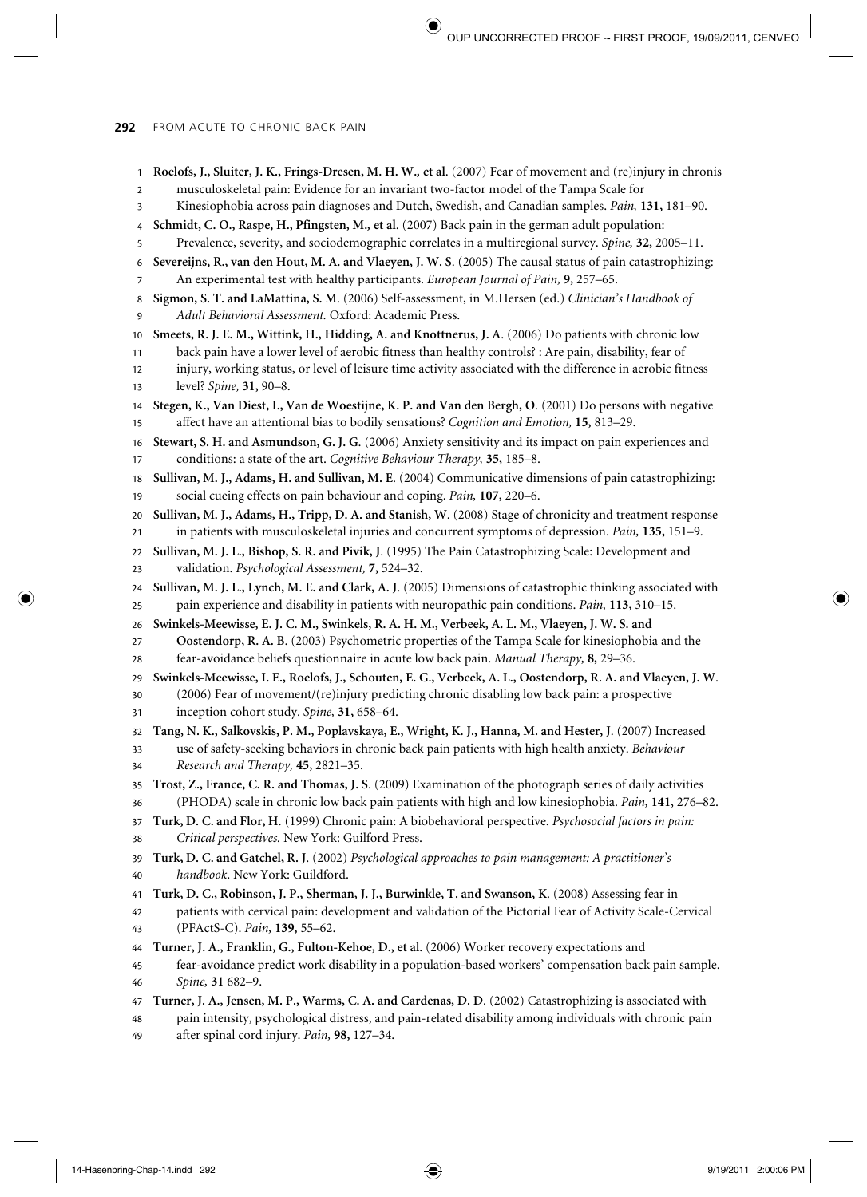| 1              | Roelofs, J., Sluiter, J. K., Frings-Dresen, M. H. W., et al. (2007) Fear of movement and (re)injury in chronis                                                                                                   |
|----------------|------------------------------------------------------------------------------------------------------------------------------------------------------------------------------------------------------------------|
| $\overline{2}$ | musculoskeletal pain: Evidence for an invariant two-factor model of the Tampa Scale for                                                                                                                          |
| 3              | Kinesiophobia across pain diagnoses and Dutch, Swedish, and Canadian samples. Pain, 131, 181-90.                                                                                                                 |
| 4              | Schmidt, C. O., Raspe, H., Pfingsten, M., et al. (2007) Back pain in the german adult population:                                                                                                                |
| 5              | Prevalence, severity, and sociodemographic correlates in a multiregional survey. Spine, 32, 2005-11.                                                                                                             |
| 6              | Severeijns, R., van den Hout, M. A. and Vlaeyen, J. W. S. (2005) The causal status of pain catastrophizing:                                                                                                      |
| 7              | An experimental test with healthy participants. European Journal of Pain, 9, 257-65.                                                                                                                             |
| 8              | Sigmon, S. T. and LaMattina, S. M. (2006) Self-assessment, in M.Hersen (ed.) Clinician's Handbook of                                                                                                             |
| 9              | Adult Behavioral Assessment. Oxford: Academic Press.                                                                                                                                                             |
| 10             | Smeets, R. J. E. M., Wittink, H., Hidding, A. and Knottnerus, J. A. (2006) Do patients with chronic low                                                                                                          |
| 11             | back pain have a lower level of aerobic fitness than healthy controls? : Are pain, disability, fear of                                                                                                           |
| 12             | injury, working status, or level of leisure time activity associated with the difference in aerobic fitness                                                                                                      |
| 13             | level? Spine, 31, 90-8.                                                                                                                                                                                          |
| 14<br>15       | Stegen, K., Van Diest, I., Van de Woestijne, K. P. and Van den Bergh, O. (2001) Do persons with negative<br>affect have an attentional bias to bodily sensations? Cognition and Emotion, 15, 813-29.             |
| 16             | Stewart, S. H. and Asmundson, G. J. G. (2006) Anxiety sensitivity and its impact on pain experiences and                                                                                                         |
| 17             | conditions: a state of the art. Cognitive Behaviour Therapy, 35, 185-8.                                                                                                                                          |
| 18             | Sullivan, M. J., Adams, H. and Sullivan, M. E. (2004) Communicative dimensions of pain catastrophizing:                                                                                                          |
| 19             | social cueing effects on pain behaviour and coping. Pain, 107, 220-6.                                                                                                                                            |
| 20             | Sullivan, M. J., Adams, H., Tripp, D. A. and Stanish, W. (2008) Stage of chronicity and treatment response                                                                                                       |
| 21             | in patients with musculoskeletal injuries and concurrent symptoms of depression. Pain, 135, 151-9.                                                                                                               |
| 22             | Sullivan, M. J. L., Bishop, S. R. and Pivik, J. (1995) The Pain Catastrophizing Scale: Development and                                                                                                           |
| 23             | validation. Psychological Assessment, 7, 524-32.                                                                                                                                                                 |
| 24             | Sullivan, M. J. L., Lynch, M. E. and Clark, A. J. (2005) Dimensions of catastrophic thinking associated with                                                                                                     |
| 25             | pain experience and disability in patients with neuropathic pain conditions. Pain, 113, 310-15.                                                                                                                  |
| 26             | Swinkels-Meewisse, E. J. C. M., Swinkels, R. A. H. M., Verbeek, A. L. M., Vlaeyen, J. W. S. and                                                                                                                  |
| 27             | Oostendorp, R. A. B. (2003) Psychometric properties of the Tampa Scale for kinesiophobia and the                                                                                                                 |
| 28             | fear-avoidance beliefs questionnaire in acute low back pain. Manual Therapy, 8, 29-36.                                                                                                                           |
| 29             | Swinkels-Meewisse, I. E., Roelofs, J., Schouten, E. G., Verbeek, A. L., Oostendorp, R. A. and Vlaeyen, J. W.                                                                                                     |
| 30             | (2006) Fear of movement/(re)injury predicting chronic disabling low back pain: a prospective                                                                                                                     |
| 31             | inception cohort study. Spine, 31, 658-64.                                                                                                                                                                       |
| 32             | Tang, N. K., Salkovskis, P. M., Poplavskaya, E., Wright, K. J., Hanna, M. and Hester, J. (2007) Increased                                                                                                        |
| 33             | use of safety-seeking behaviors in chronic back pain patients with high health anxiety. Behaviour                                                                                                                |
| 34             | Research and Therapy, 45, 2821-35.                                                                                                                                                                               |
| 35             | Trost, Z., France, C. R. and Thomas, J. S. (2009) Examination of the photograph series of daily activities                                                                                                       |
| 36             | (PHODA) scale in chronic low back pain patients with high and low kinesiophobia. Pain, 141, 276-82.                                                                                                              |
| 37             | Turk, D. C. and Flor, H. (1999) Chronic pain: A biobehavioral perspective. Psychosocial factors in pain:                                                                                                         |
| 38             | Critical perspectives. New York: Guilford Press.                                                                                                                                                                 |
| 39             | Turk, D. C. and Gatchel, R. J. (2002) Psychological approaches to pain management: A practitioner's<br>handbook. New York: Guildford.                                                                            |
| 40             |                                                                                                                                                                                                                  |
| 41             | Turk, D. C., Robinson, J. P., Sherman, J. J., Burwinkle, T. and Swanson, K. (2008) Assessing fear in<br>patients with cervical pain: development and validation of the Pictorial Fear of Activity Scale-Cervical |
| 42<br>43       | (PFActS-C). Pain, 139, 55-62.                                                                                                                                                                                    |
|                | Turner, J. A., Franklin, G., Fulton-Kehoe, D., et al. (2006) Worker recovery expectations and                                                                                                                    |
| 44<br>45       | fear-avoidance predict work disability in a population-based workers' compensation back pain sample.                                                                                                             |
| 46             | Spine, 31 682-9.                                                                                                                                                                                                 |
| 47             | Turner, J. A., Jensen, M. P., Warms, C. A. and Cardenas, D. D. (2002) Catastrophizing is associated with                                                                                                         |
| 48             | pain intensity, psychological distress, and pain-related disability among individuals with chronic pain                                                                                                          |
| 49             | after spinal cord injury. Pain, 98, 127-34.                                                                                                                                                                      |
|                |                                                                                                                                                                                                                  |

 $\bigoplus$ 

 $\bigoplus$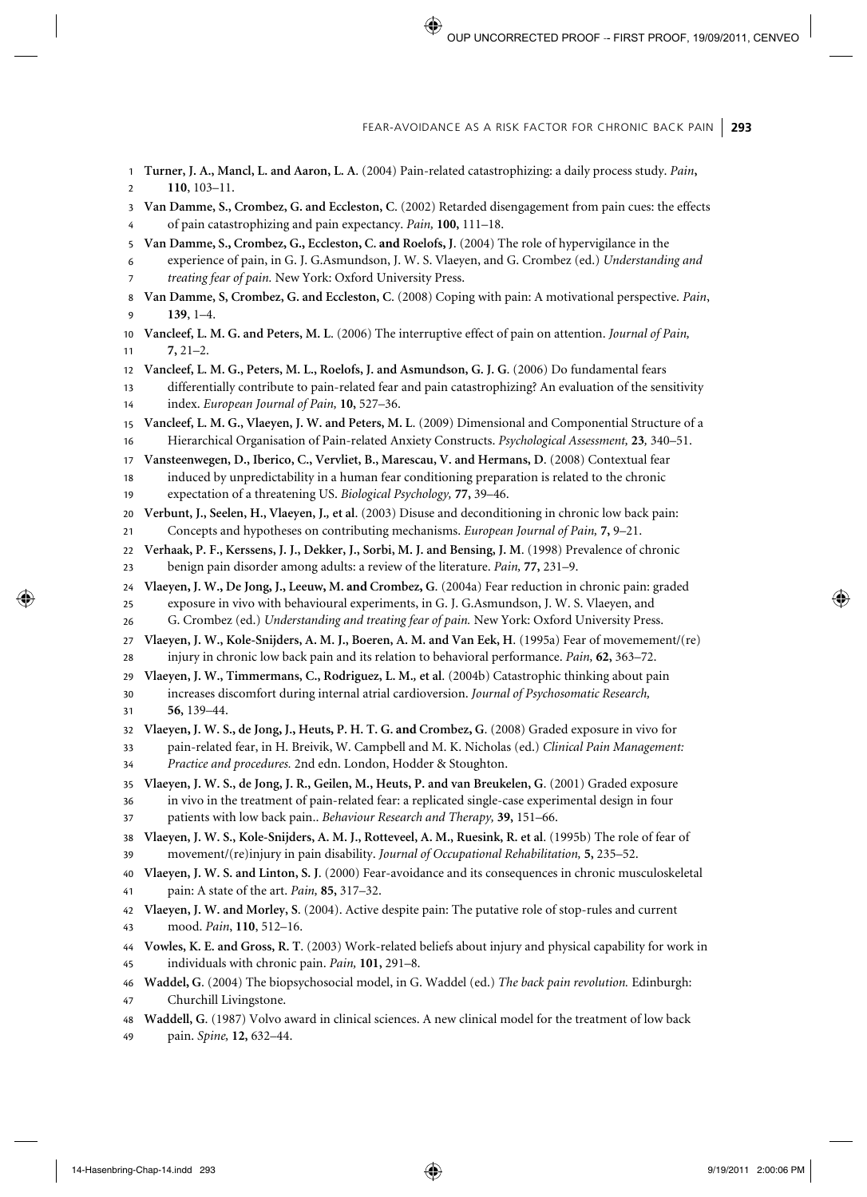2 1 **Turner, J. A., Mancl, L. and Aaron, L. A** . ( 2004 ) Pain-related catastrophizing: a daily process study . *Pain***,** 110, 103-11.

 $\bigoplus$ 

- 4 3 **Van Damme, S., Crombez, G. and Eccleston, C** . ( 2002 ) Retarded disengagement from pain cues: the effects of pain catastrophizing and pain expectancy . *Pain,* **100,** 111 – 18 .
- 5 **Van Damme, S., Crombez, G., Eccleston, C. and Roelofs, J** . ( 2004 ) The role of hypervigilance in the
- 7 6 experience of pain, in G. J. G.Asmundson, J. W. S. Vlaeyen, and G. Crombez (ed.) Understanding and treating fear of pain. New York: Oxford University Press.
- $\epsilon$ 8 **Van Damme, S, Crombez, G. and Eccleston, C** . ( 2008 ) Coping with pain: A motivational perspective . *Pain* , 139, 1-4.
- 11 10 **Vancleef, L. M. G. and Peters, M. L** . ( 2006 ) The interruptive effect of pain on attention . *Journal of Pain,* **7,** 21 – 2 .
- 12 **Vancleef, L. M. G., Peters, M. L., Roelofs, J. and Asmundson, G. J. G** . ( 2006 ) Do fundamental fears
- 14 13 differentially contribute to pain-related fear and pain catastrophizing? An evaluation of the sensitivity index. *European Journal of Pain*, 10, 527-36.
- 16 15 Vancleef, L. M. G., Vlaeyen, J. W. and Peters, M. L. (2009) Dimensional and Componential Structure of a Hierarchical Organisation of Pain-related Anxiety Constructs . *Psychological Assessment,* **23***,* 340 – 51 .
- 17 Vansteenwegen, D., Iberico, C., Vervliet, B., Marescau, V. and Hermans, D. (2008) Contextual fear
- 19 18 induced by unpredictability in a human fear conditioning preparation is related to the chronic expectation of a threatening US. *Biological Psychology*, 77, 39-46.
- 21 20 **Verbunt, J., Seelen, H., Vlaeyen, J.***,* **et al** . ( 2003 ) Disuse and deconditioning in chronic low back pain: Concepts and hypotheses on contributing mechanisms. *European Journal of Pain*, **7**, 9–21.
- 23 22 **Verhaak, P. F., Kerssens, J. J., Dekker, J., Sorbi, M. J. and Bensing, J. M** . ( 1998 ) Prevalence of chronic benign pain disorder among adults: a review of the literature . *Pain,* **77,** 231 – 9 .
- 24 **Vlaeyen, J. W., De Jong, J., Leeuw, M. and Crombez, G** . ( 2004a ) Fear reduction in chronic pain: graded
- 26  $25$ exposure in vivo with behavioural experiments , in G. J. G.Asmundson, J. W. S. Vlaeyen, and G. Crombez (ed.) *Understanding and treating fear of pain*. New York: Oxford University Press.
- $27$ Vlaeyen, J. W., Kole-Snijders, A. M. J., Boeren, A. M. and Van Eek, H. (1995a) Fear of movemement/(re)
- 28 injury in chronic low back pain and its relation to behavioral performance . *Pain,* **62,** 363 – 72 .

31  $3<sup>0</sup>$ 29 **Vlaeyen, J. W., Timmermans, C., Rodriguez, L. M.***,* **et al** . ( 2004b ) Catastrophic thinking about pain increases discomfort during internal atrial cardioversion . *Journal of Psychosomatic Research,* **56,** 139 – 44 .

- 32 **Vlaeyen, J. W. S., de Jong, J., Heuts, P. H. T. G. and Crombez, G** . ( 2008 ) Graded exposure in vivo for
- 33 pain-related fear, in H. Breivik, W. Campbell and M. K. Nicholas (ed.) *Clinical Pain Management*:
- 34 *Practice and procedures.* 2nd edn. London, Hodder & Stoughton.
- 35 **Vlaeyen, J. W. S., de Jong, J. R., Geilen, M., Heuts, P. and van Breukelen, G** . ( 2001 ) Graded exposure
- 36 in vivo in the treatment of pain-related fear: a replicated single-case experimental design in four
- 37 patients with low back pain.. *Behaviour Research and Therapy*, 39, 151-66.
- 39 38 **Vlaeyen, J. W. S., Kole-Snijders, A. M. J., Rotteveel, A. M., Ruesink, R. et al** . ( 1995b ) The role of fear of movement/(re)injury in pain disability . *Journal of Occupational Rehabilitation,* **5,** 235 – 52 .
- 41 40 **Vlaeyen, J. W. S. and Linton, S. J** . ( 2000 ) Fear-avoidance and its consequences in chronic musculoskeletal pain: A state of the art. *Pain*, 85, 317-32.
- 43 42 **Vlaeyen, J. W. and Morley, S** . ( 2004 ). Active despite pain: The putative role of stop-rules and current
- mood. Pain, 110, 512-16.

45 44 **Vowles, K. E. and Gross, R. T** . ( 2003 ) Work-related beliefs about injury and physical capability for work in individuals with chronic pain. Pain, 101, 291-8.

- 47 46 Waddel, G. (2004) The biopsychosocial model, in G. Waddel (ed.) The back pain revolution. Edinburgh: Churchill Livingstone.
- 48 **Waddell, G** . ( 1987 ) Volvo award in clinical sciences . A new clinical model for the treatment of low back
- 49 pain. *Spine,* **12,** 632 – 44 .